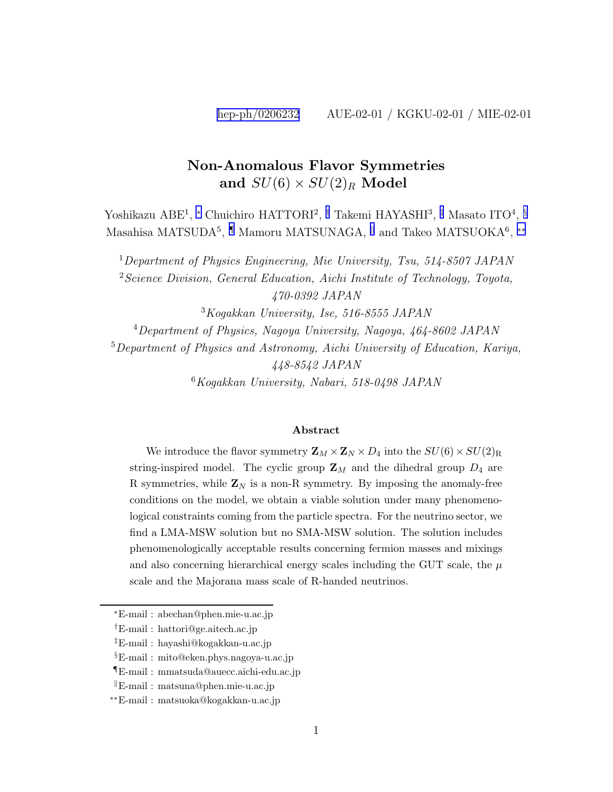#### Non-Anomalous Flavor Symmetries and  $SU(6) \times SU(2)_R$  Model

Yoshikazu ABE<sup>1</sup>, \* Chuichiro HATTORI<sup>2</sup>, † Takemi HAYASHI<sup>3</sup>, <sup>‡</sup> Masato ITO<sup>4</sup>, <sup>§</sup> Masahisa MATSUDA<sup>5</sup>, <sup>¶</sup> Mamoru MATSUNAGA, <sup>||</sup> and Takeo MATSUOKA<sup>6</sup>, \*\*

<sup>1</sup>Department of Physics Engineering, Mie University, Tsu, 514-8507 JAPAN

 $2$ Science Division, General Education, Aichi Institute of Technology, Toyota, 470-0392 JAPAN

<sup>3</sup>Kogakkan University, Ise, 516-8555 JAPAN

<sup>4</sup>Department of Physics, Nagoya University, Nagoya, 464-8602 JAPAN

<sup>5</sup>Department of Physics and Astronomy, Aichi University of Education, Kariya, 448-8542 JAPAN

 $6Kogakkan$  University, Nabari, 518-0498 JAPAN

#### Abstract

We introduce the flavor symmetry  $\mathbf{Z}_M \times \mathbf{Z}_N \times D_4$  into the  $SU(6) \times SU(2)_R$ string-inspired model. The cyclic group  $\mathbf{Z}_M$  and the dihedral group  $D_4$  are R symmetries, while  $\mathbf{Z}_N$  is a non-R symmetry. By imposing the anomaly-free conditions on the model, we obtain a viable solution under many phenomenological constraints coming from the particle spectra. For the neutrino sector, we find a LMA-MSW solution but no SMA-MSW solution. The solution includes phenomenologically acceptable results concerning fermion masses and mixings and also concerning hierarchical energy scales including the GUT scale, the  $\mu$ scale and the Majorana mass scale of R-handed neutrinos.

<sup>∗</sup>E-mail : abechan@phen.mie-u.ac.jp

<sup>†</sup>E-mail : hattori@ge.aitech.ac.jp

<sup>‡</sup>E-mail : hayashi@kogakkan-u.ac.jp

<sup>§</sup>E-mail : mito@eken.phys.nagoya-u.ac.jp

<sup>¶</sup>E-mail : mmatsuda@auecc.aichi-edu.ac.jp

 $E$ -mail : matsuna@phen.mie-u.ac.jp

<sup>∗∗</sup>E-mail : matsuoka@kogakkan-u.ac.jp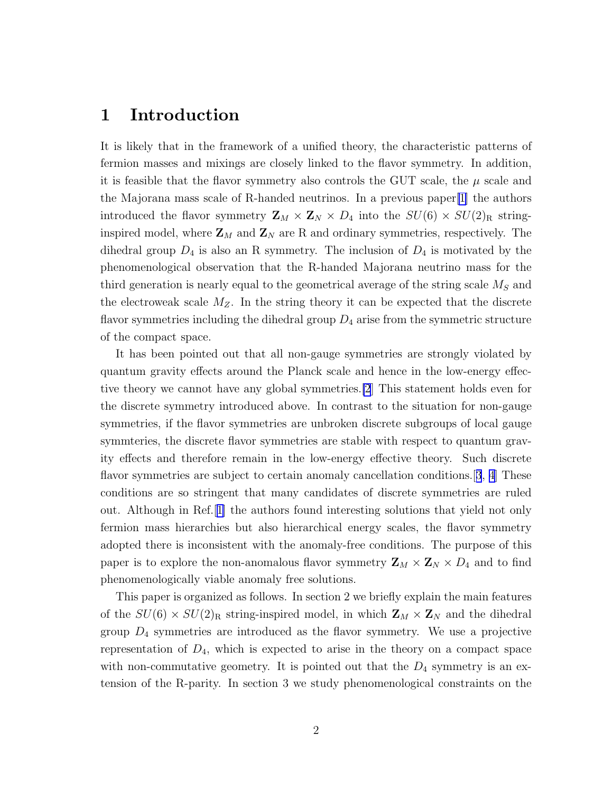#### 1 Introduction

It is likely that in the framework of a unified theory, the characteristic patterns of fermion masses and mixings are closely linked to the flavor symmetry. In addition, it is feasible that the flavor symmetry also controls the GUT scale, the  $\mu$  scale and the Majorana mass scale of R-handed neutrinos. In a previous paper[\[1](#page-24-0)] the authors introduced the flavor symmetry  $\mathbf{Z}_M \times \mathbf{Z}_N \times D_4$  into the  $SU(6) \times SU(2)_R$  stringinspired model, where  $\mathbf{Z}_M$  and  $\mathbf{Z}_N$  are R and ordinary symmetries, respectively. The dihedral group  $D_4$  is also an R symmetry. The inclusion of  $D_4$  is motivated by the phenomenological observation that the R-handed Majorana neutrino mass for the third generation is nearly equal to the geometrical average of the string scale  $M<sub>S</sub>$  and the electroweak scale  $M_Z$ . In the string theory it can be expected that the discrete flavor symmetries including the dihedral group  $D_4$  arise from the symmetric structure of the compact space.

It has been pointed out that all non-gauge symmetries are strongly violated by quantum gravity effects around the Planck scale and hence in the low-energy effective theory we cannot have any global symmetries.[\[2](#page-24-0)] This statement holds even for the discrete symmetry introduced above. In contrast to the situation for non-gauge symmetries, if the flavor symmetries are unbroken discrete subgroups of local gauge symmteries, the discrete flavor symmetries are stable with respect to quantum gravity effects and therefore remain in the low-energy effective theory. Such discrete flavor symmetries are subject to certain anomaly cancellation conditions. [[3](#page-24-0), [4](#page-24-0)] These conditions are so stringent that many candidates of discrete symmetries are ruled out. Although in Ref.[[1\]](#page-24-0) the authors found interesting solutions that yield not only fermion mass hierarchies but also hierarchical energy scales, the flavor symmetry adopted there is inconsistent with the anomaly-free conditions. The purpose of this paper is to explore the non-anomalous flavor symmetry  $\mathbf{Z}_M \times \mathbf{Z}_N \times D_4$  and to find phenomenologically viable anomaly free solutions.

This paper is organized as follows. In section 2 we briefly explain the main features of the  $SU(6) \times SU(2)_R$  string-inspired model, in which  $\mathbb{Z}_M \times \mathbb{Z}_N$  and the dihedral group  $D_4$  symmetries are introduced as the flavor symmetry. We use a projective representation of  $D_4$ , which is expected to arise in the theory on a compact space with non-commutative geometry. It is pointed out that the  $D_4$  symmetry is an extension of the R-parity. In section 3 we study phenomenological constraints on the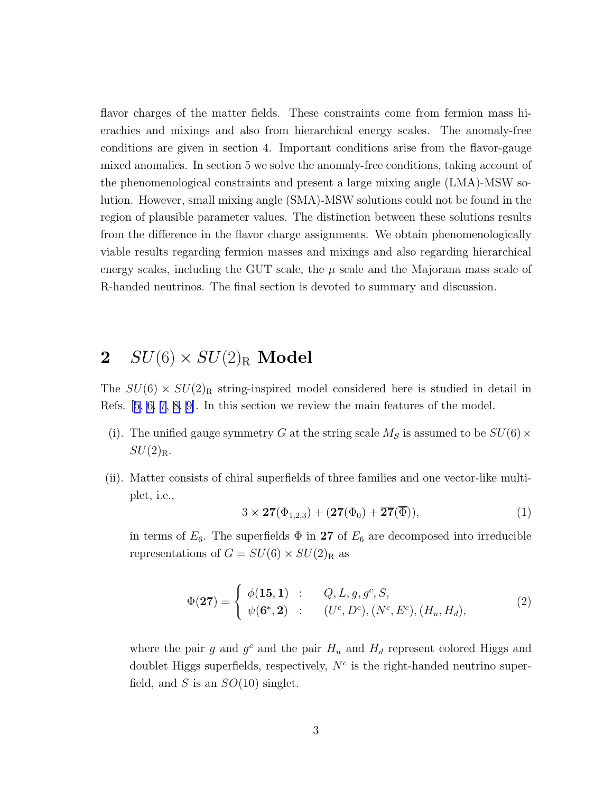<span id="page-2-0"></span>flavor charges of the matter fields. These constraints come from fermion mass hierachies and mixings and also from hierarchical energy scales. The anomaly-free conditions are given in section 4. Important conditions arise from the flavor-gauge mixed anomalies. In section 5 we solve the anomaly-free conditions, taking account of the phenomenological constraints and present a large mixing angle (LMA)-MSW solution. However, small mixing angle (SMA)-MSW solutions could not be found in the region of plausible parameter values. The distinction between these solutions results from the difference in the flavor charge assignments. We obtain phenomenologically viable results regarding fermion masses and mixings and also regarding hierarchical energy scales, including the GUT scale, the  $\mu$  scale and the Majorana mass scale of R-handed neutrinos. The final section is devoted to summary and discussion.

## 2  $SU(6) \times SU(2)_R$  Model

The  $SU(6) \times SU(2)_R$  string-inspired model considered here is studied in detail in Refs. [\[5, 6, 7, 8, 9](#page-24-0)]. In this section we review the main features of the model.

- (i). The unified gauge symmetry G at the string scale  $M<sub>S</sub>$  is assumed to be  $SU(6) \times$  $SU(2)_R$ .
- (ii). Matter consists of chiral superfields of three families and one vector-like multiplet, i.e.,

$$
3 \times 27(\Phi_{1,2,3}) + (27(\Phi_0) + \overline{27}(\overline{\Phi})), \tag{1}
$$

in terms of  $E_6$ . The superfields  $\Phi$  in 27 of  $E_6$  are decomposed into irreducible representations of  $G = SU(6) \times SU(2)_R$  as

$$
\Phi(\mathbf{27}) = \begin{cases} \phi(\mathbf{15}, \mathbf{1}) & : & Q, L, g, g^c, S, \\ \psi(\mathbf{6}^*, \mathbf{2}) & : & (U^c, D^c), (N^c, E^c), (H_u, H_d), \end{cases} \tag{2}
$$

where the pair g and  $g^c$  and the pair  $H_u$  and  $H_d$  represent colored Higgs and doublet Higgs superfields, respectively,  $N<sup>c</sup>$  is the right-handed neutrino superfield, and S is an  $SO(10)$  singlet.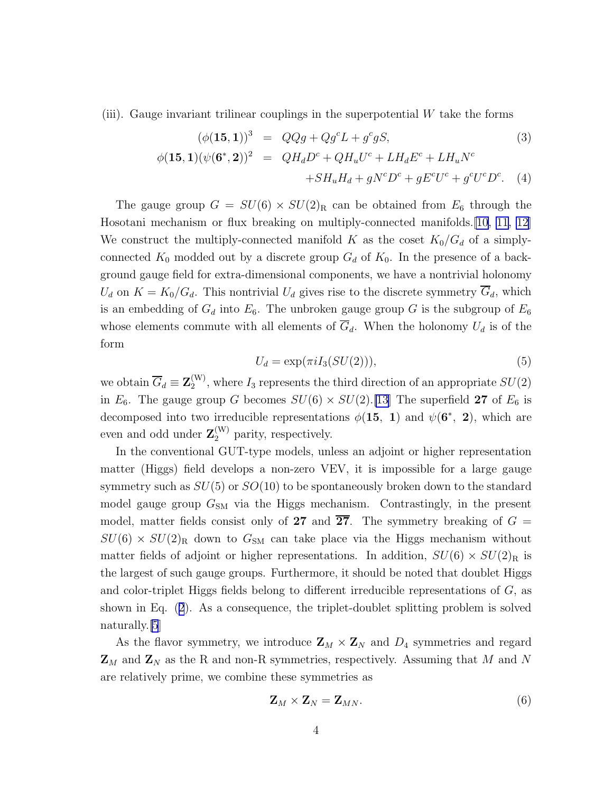(iii). Gauge invariant trilinear couplings in the superpotential  $W$  take the forms

$$
(\phi(\mathbf{15}, \mathbf{1}))^3 = QQg + Qg^c L + g^c g S,
$$
\n(3)  
\n
$$
\phi(\mathbf{15}, \mathbf{1})(\psi(\mathbf{6}^*, \mathbf{2}))^2 = QH_d D^c + QH_u U^c + LH_d E^c + LH_u N^c
$$
\n
$$
+ SH_u H_d + g N^c D^c + g E^c U^c + g^c U^c D^c.
$$
\n(4)

The gauge group  $G = SU(6) \times SU(2)_R$  can be obtained from  $E_6$  through the Hosotani mechanism or flux breaking on multiply-connected manifolds.[\[10, 11, 12](#page-24-0)] We construct the multiply-connected manifold K as the coset  $K_0/G_d$  of a simplyconnected  $K_0$  modded out by a discrete group  $G_d$  of  $K_0$ . In the presence of a background gauge field for extra-dimensional components, we have a nontrivial holonomy  $U_d$  on  $K = K_0/G_d$ . This nontrivial  $U_d$  gives rise to the discrete symmetry  $G_d$ , which is an embedding of  $G_d$  into  $E_6$ . The unbroken gauge group G is the subgroup of  $E_6$ whose elements commute with all elements of  $\overline{G}_d$ . When the holonomy  $U_d$  is of the form

$$
U_d = \exp(\pi i I_3(SU(2))),\tag{5}
$$

we obtain  $\overline{G}_d \equiv \mathbf{Z}_2^{(W)}$  $2^{\mathcal{W}}$ , where  $I_3$  represents the third direction of an appropriate  $SU(2)$ in  $E_6$ . The gauge group G becomes  $SU(6) \times SU(2)$ .[\[13](#page-25-0)] The superfield 27 of  $E_6$  is decomposed into two irreducible representations  $\phi(15, 1)$  and  $\psi(6^*, 2)$ , which are even and odd under  $\mathbf{Z}_2^{(W)}$  parity, respectively.

In the conventional GUT-type models, unless an adjoint or higher representation matter (Higgs) field develops a non-zero VEV, it is impossible for a large gauge symmetry such as  $SU(5)$  or  $SO(10)$  to be spontaneously broken down to the standard model gauge group  $G_{SM}$  via the Higgs mechanism. Contrastingly, in the present model, matter fields consist only of 27 and  $\overline{27}$ . The symmetry breaking of  $G =$  $SU(6) \times SU(2)_R$  down to  $G_{SM}$  can take place via the Higgs mechanism without matter fields of adjoint or higher representations. In addition,  $SU(6) \times SU(2)_R$  is the largest of such gauge groups. Furthermore, it should be noted that doublet Higgs and color-triplet Higgs fields belong to different irreducible representations of G, as shown in Eq. ([2](#page-2-0)). As a consequence, the triplet-doublet splitting problem is solved naturally.[\[5](#page-24-0)]

As the flavor symmetry, we introduce  $\mathbf{Z}_M \times \mathbf{Z}_N$  and  $D_4$  symmetries and regard  $\mathbf{Z}_M$  and  $\mathbf{Z}_N$  as the R and non-R symmetries, respectively. Assuming that M and N are relatively prime, we combine these symmetries as

$$
\mathbf{Z}_M \times \mathbf{Z}_N = \mathbf{Z}_{MN}.\tag{6}
$$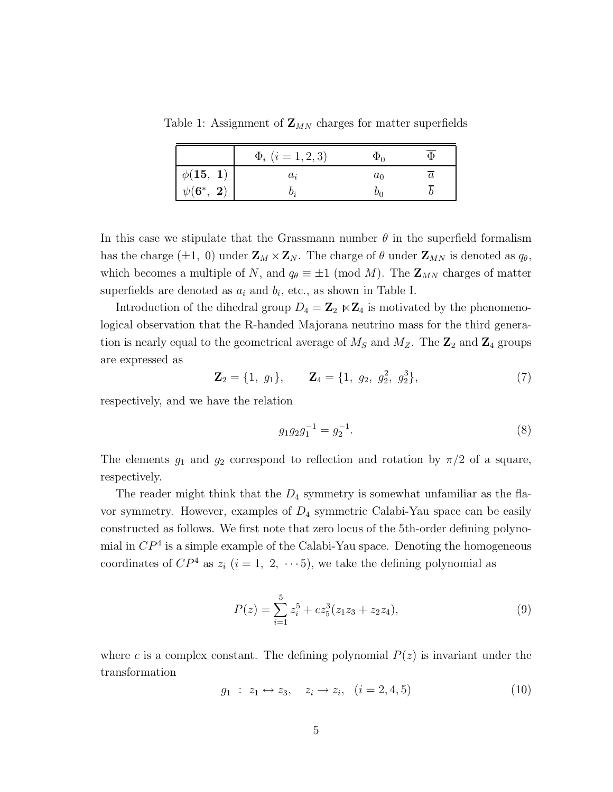Table 1: Assignment of  $\mathbf{Z}_{MN}$  charges for matter superfields

|                | $\Phi_i$ $(i = 1, 2, 3)$ | Ψη    |  |
|----------------|--------------------------|-------|--|
| $\phi(15, 1)$  | $a_i$                    | $a_0$ |  |
| $\psi(6^*, 2)$ |                          |       |  |

In this case we stipulate that the Grassmann number  $\theta$  in the superfield formalism has the charge ( $\pm 1$ , 0) under  $\mathbf{Z}_M \times \mathbf{Z}_N$ . The charge of  $\theta$  under  $\mathbf{Z}_{MN}$  is denoted as  $q_\theta$ , which becomes a multiple of N, and  $q_{\theta} \equiv \pm 1 \pmod{M}$ . The  $\mathbb{Z}_{MN}$  charges of matter superfields are denoted as  $a_i$  and  $b_i$ , etc., as shown in Table I.

Introduction of the dihedral group  $D_4 = \mathbb{Z}_2 \ltimes \mathbb{Z}_4$  is motivated by the phenomenological observation that the R-handed Majorana neutrino mass for the third generation is nearly equal to the geometrical average of  $M_S$  and  $M_Z$ . The  $\mathbb{Z}_2$  and  $\mathbb{Z}_4$  groups are expressed as

$$
\mathbf{Z}_2 = \{1, g_1\}, \qquad \mathbf{Z}_4 = \{1, g_2, g_2^2, g_2^3\},\tag{7}
$$

respectively, and we have the relation

$$
g_1 g_2 g_1^{-1} = g_2^{-1}.\tag{8}
$$

The elements  $g_1$  and  $g_2$  correspond to reflection and rotation by  $\pi/2$  of a square, respectively.

The reader might think that the  $D_4$  symmetry is somewhat unfamiliar as the flavor symmetry. However, examples of  $D_4$  symmetric Calabi-Yau space can be easily constructed as follows. We first note that zero locus of the 5th-order defining polynomial in  $\mathbb{CP}^4$  is a simple example of the Calabi-Yau space. Denoting the homogeneous coordinates of  $\mathbb{CP}^4$  as  $z_i$   $(i = 1, 2, \cdots 5)$ , we take the defining polynomial as

$$
P(z) = \sum_{i=1}^{5} z_i^5 + c z_5^3 (z_1 z_3 + z_2 z_4),
$$
\n(9)

where c is a complex constant. The defining polynomial  $P(z)$  is invariant under the transformation

$$
g_1 : z_1 \leftrightarrow z_3, \quad z_i \to z_i, \quad (i = 2, 4, 5) \tag{10}
$$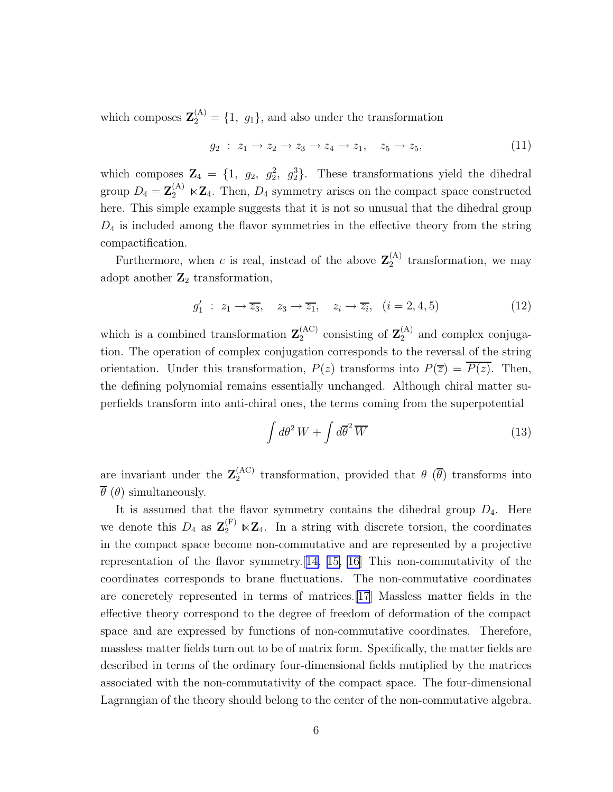which composes  $\mathbf{Z}_2^{(A)} = \{1, g_1\}$ , and also under the transformation

$$
g_2: z_1 \to z_2 \to z_3 \to z_4 \to z_1, \quad z_5 \to z_5,\tag{11}
$$

which composes  $\mathbf{Z}_4 = \{1, g_2, g_2^2, g_2^3\}$ . These transformations yield the dihedral group  $D_4 = \mathbf{Z}_2^{(A)} \ltimes \mathbf{Z}_4$ . Then,  $D_4$  symmetry arises on the compact space constructed here. This simple example suggests that it is not so unusual that the dihedral group  $D_4$  is included among the flavor symmetries in the effective theory from the string compactification.

Furthermore, when c is real, instead of the above  $\mathbf{Z}_2^{(A)}$  $_2^{\text{(A)}}$  transformation, we may adopt another  $\mathbb{Z}_2$  transformation,

$$
g_1' \; : \; z_1 \to \overline{z_3}, \quad z_3 \to \overline{z_1}, \quad z_i \to \overline{z_i}, \quad (i = 2, 4, 5) \tag{12}
$$

which is a combined transformation  $\mathbf{Z}_2^{(AC)}$  $_2^{(AC)}$  consisting of  $\mathbb{Z}_2^{(A)}$  and complex conjugation. The operation of complex conjugation corresponds to the reversal of the string orientation. Under this transformation,  $P(z)$  transforms into  $P(\overline{z}) = \overline{P(z)}$ . Then, the defining polynomial remains essentially unchanged. Although chiral matter superfields transform into anti-chiral ones, the terms coming from the superpotential

$$
\int d\theta^2 W + \int d\overline{\theta}^2 \overline{W}
$$
\n(13)

are invariant under the  $\mathbf{Z}_2^{(AC)}$  $t_2^{(AC)}$  transformation, provided that  $\theta$  ( $\theta$ ) transforms into  $\theta$  ( $\theta$ ) simultaneously.

It is assumed that the flavor symmetry contains the dihedral group  $D_4$ . Here we denote this  $D_4$  as  $\mathbf{Z}_2^{(F)} \ltimes \mathbf{Z}_4$ . In a string with discrete torsion, the coordinates in the compact space become non-commutative and are represented by a projective representation of the flavor symmetry.[[14, 15, 16](#page-25-0)] This non-commutativity of the coordinates corresponds to brane fluctuations. The non-commutative coordinates are concretely represented in terms of matrices.[\[17](#page-25-0)] Massless matter fields in the effective theory correspond to the degree of freedom of deformation of the compact space and are expressed by functions of non-commutative coordinates. Therefore, massless matter fields turn out to be of matrix form. Specifically, the matter fields are described in terms of the ordinary four-dimensional fields mutiplied by the matrices associated with the non-commutativity of the compact space. The four-dimensional Lagrangian of the theory should belong to the center of the non-commutative algebra.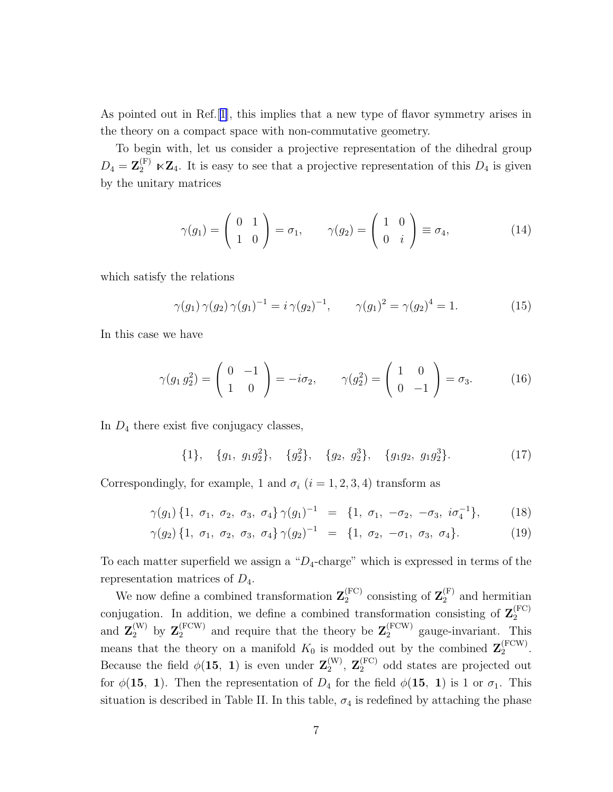As pointed out in Ref.[[1\]](#page-24-0), this implies that a new type of flavor symmetry arises in the theory on a compact space with non-commutative geometry.

To begin with, let us consider a projective representation of the dihedral group  $D_4 = \mathbf{Z}_2^{(F)} \ltimes \mathbf{Z}_4$ . It is easy to see that a projective representation of this  $D_4$  is given by the unitary matrices

$$
\gamma(g_1) = \begin{pmatrix} 0 & 1 \\ 1 & 0 \end{pmatrix} = \sigma_1, \qquad \gamma(g_2) = \begin{pmatrix} 1 & 0 \\ 0 & i \end{pmatrix} \equiv \sigma_4,\tag{14}
$$

which satisfy the relations

$$
\gamma(g_1)\,\gamma(g_2)\,\gamma(g_1)^{-1} = i\,\gamma(g_2)^{-1}, \qquad \gamma(g_1)^2 = \gamma(g_2)^4 = 1. \tag{15}
$$

In this case we have

$$
\gamma(g_1 g_2^2) = \begin{pmatrix} 0 & -1 \\ 1 & 0 \end{pmatrix} = -i\sigma_2, \qquad \gamma(g_2^2) = \begin{pmatrix} 1 & 0 \\ 0 & -1 \end{pmatrix} = \sigma_3.
$$
 (16)

In  $D_4$  there exist five conjugacy classes,

 $\{1\}, \{g_1, g_1g_2^2\}, \{g_2^2\}, \{g_2, g_2^3\}, \{g_1g_2, g_1g_2^3\}$  $(17)$ 

Correspondingly, for example, 1 and  $\sigma_i$  ( $i = 1, 2, 3, 4$ ) transform as

$$
\gamma(g_1) \{1, \sigma_1, \sigma_2, \sigma_3, \sigma_4\} \gamma(g_1)^{-1} = \{1, \sigma_1, -\sigma_2, -\sigma_3, i\sigma_4^{-1}\},\tag{18}
$$

$$
\gamma(g_2) \{1, \sigma_1, \sigma_2, \sigma_3, \sigma_4\} \gamma(g_2)^{-1} = \{1, \sigma_2, -\sigma_1, \sigma_3, \sigma_4\}. \tag{19}
$$

To each matter superfield we assign a " $D_4$ -charge" which is expressed in terms of the representation matrices of  $D_4$ .

We now define a combined transformation  $\mathbf{Z}_2^{(\text{FC})}$  $2<sub>2</sub><sup>(FC)</sup>$  consisting of  $\mathbf{Z}_{2}^{(F)}$  and hermitian conjugation. In addition, we define a combined transformation consisting of  $\mathbf{Z}_2^{(\text{FC})}$ 2 and  $\mathbf{Z}_2^{(W)}$  by  $\mathbf{Z}_2^{(FCW)}$  and require that the theory be  $\mathbf{Z}_2^{(FCW)}$  gauge-invariant. This means that the theory on a manifold  $K_0$  is modded out by the combined  $\mathbf{Z}_2^{(\text{FCW})}$  $2^{(\text{row})}$ . Because the field  $\phi(15, 1)$  is even under  $\mathbf{Z}_2^{(W)}$  $2<sup>(W)</sup>$ ,  $\mathbf{Z}_2^{(FC)}$  odd states are projected out for  $\phi(15, 1)$ . Then the representation of  $D_4$  for the field  $\phi(15, 1)$  is 1 or  $\sigma_1$ . This situation is described in Table II. In this table,  $\sigma_4$  is redefined by attaching the phase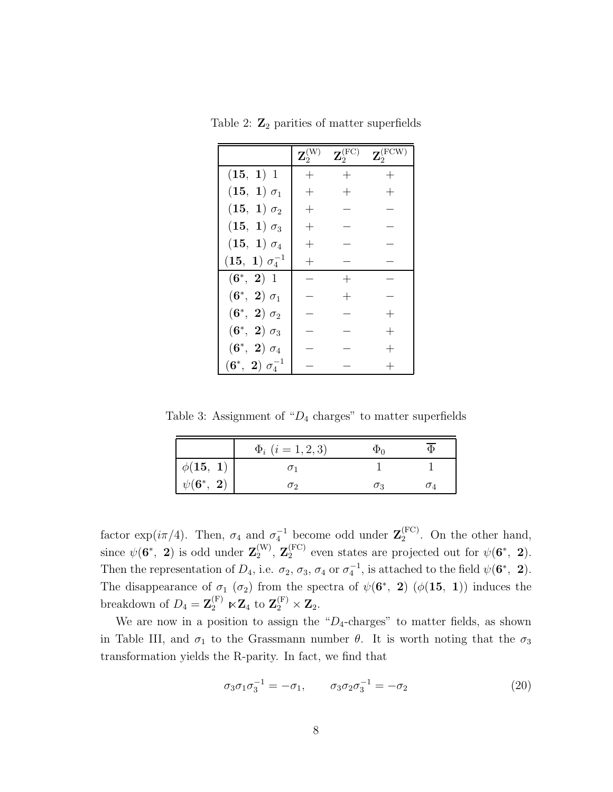|                                           | $\mathbf{Z}_2^0$   | $\mathbf{Z}_2^{(\text{FC})}$ | $\mathbf{Z}_2^{(\text{FCW})}$ |
|-------------------------------------------|--------------------|------------------------------|-------------------------------|
| (15, 1) 1                                 | $\hspace{0.1mm} +$ | $^{+}$                       | $^{+}$                        |
| $({\bf 15},\;{\bf 1})\; \sigma_1$         |                    |                              |                               |
| $({\bf 15},\;{\bf 1})\; \sigma_2$         | $\, + \,$          |                              |                               |
| $({\bf 15},\; {\bf 1})\; \sigma_3$        | $^+$               |                              |                               |
| $({\bf 15},\;{\bf 1})\;\sigma_4$          | $^+$               |                              |                               |
| $({\bf 15}, \; {\bf 1}) \; \sigma_4^{-1}$ |                    |                              |                               |
| $(6^*, 2) 1$                              |                    |                              |                               |
| $(6^*, 2) \sigma_1$                       |                    |                              |                               |
| $(6^*, 2) \sigma_2$                       |                    |                              |                               |
| $(6^*, 2) \sigma_3$                       |                    |                              |                               |
| $(6^*, 2) \sigma_4$                       |                    |                              |                               |
| $(6^*, \; 2) \; \sigma_4^{-1}$            |                    |                              |                               |

Table 2:  $\mathbb{Z}_2$  parities of matter superfields

Table 3: Assignment of " $D_4$  charges" to matter superfields

|                                                            | $\Phi_i$ $(i = 1, 2, 3)$ |            |  |
|------------------------------------------------------------|--------------------------|------------|--|
| $\phi({\bf 15}, \; {\bf 1}) \ \psi({\bf 6^*,} \; {\bf 2})$ |                          |            |  |
|                                                            | ഗ                        | $\sigma_3$ |  |

factor exp( $i\pi/4$ ). Then,  $\sigma_4$  and  $\sigma_4^{-1}$  become odd under  $\mathbf{Z}_2^{\text{(FC)}}$  $2^{(FC)}$ . On the other hand, since  $\psi({\bf 6^\ast},\;{\bf 2})$  is odd under  ${\bf Z}_2^{(\rm W)}$  $\mathbf{Z}_2^{(\mathrm{FC})}$  even states are projected out for  $\psi(\mathbf{6}^*, 2)$ . Then the representation of  $D_4$ , i.e.  $\sigma_2$ ,  $\sigma_3$ ,  $\sigma_4$  or  $\sigma_4^{-1}$ , is attached to the field  $\psi(\mathbf{6}^*, 2)$ . The disappearance of  $\sigma_1$  ( $\sigma_2$ ) from the spectra of  $\psi(6^*, 2)$  ( $\phi(15, 1)$ ) induces the breakdown of  $D_4 = \mathbf{Z}_2^{(F)} \ltimes \mathbf{Z}_4$  to  $\mathbf{Z}_2^{(F)} \times \mathbf{Z}_2$ .

We are now in a position to assign the " $D_4$ -charges" to matter fields, as shown in Table III, and  $\sigma_1$  to the Grassmann number  $\theta$ . It is worth noting that the  $\sigma_3$ transformation yields the R-parity. In fact, we find that

$$
\sigma_3 \sigma_1 \sigma_3^{-1} = -\sigma_1, \qquad \sigma_3 \sigma_2 \sigma_3^{-1} = -\sigma_2 \tag{20}
$$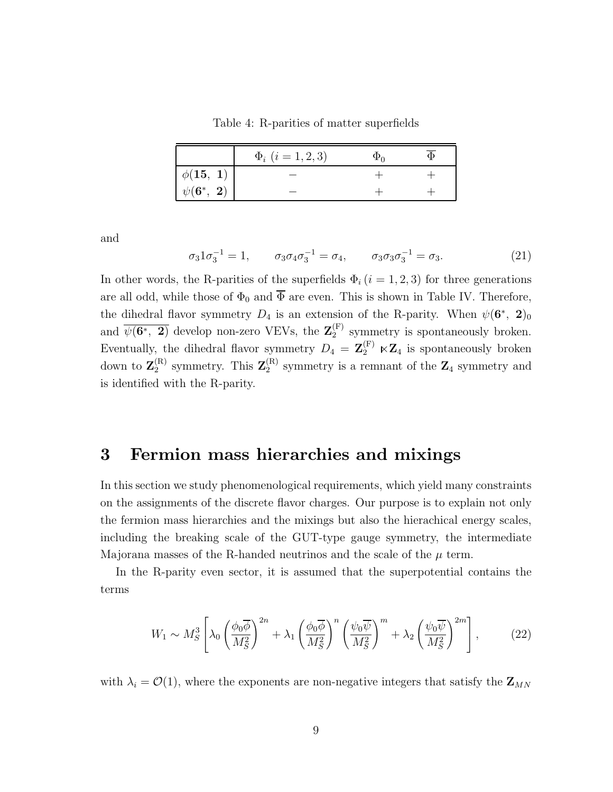Table 4: R-parities of matter superfields

|                        | $\Phi_i$ $(i = 1, 2, 3)$ | Φο |  |
|------------------------|--------------------------|----|--|
| $\phi(15, 1)$          |                          |    |  |
| $\psi({\bf 6^*, \ 2})$ |                          |    |  |

and

$$
\sigma_3 1 \sigma_3^{-1} = 1, \qquad \sigma_3 \sigma_4 \sigma_3^{-1} = \sigma_4, \qquad \sigma_3 \sigma_3 \sigma_3^{-1} = \sigma_3. \tag{21}
$$

In other words, the R-parities of the superfields  $\Phi_i$  (i = 1, 2, 3) for three generations are all odd, while those of  $\Phi_0$  and  $\overline{\Phi}$  are even. This is shown in Table IV. Therefore, the dihedral flavor symmetry  $D_4$  is an extension of the R-parity. When  $\psi(6^*, 2)_0$ and  $\overline{\psi(6^*, 2)}$  develop non-zero VEVs, the  $\mathbf{Z}_2^{(F)}$  $2^{(r)}$  symmetry is spontaneously broken. Eventually, the dihedral flavor symmetry  $D_4 = \mathbf{Z}_2^{(F)} \ltimes \mathbf{Z}_4$  is spontaneously broken down to  $\mathbf{Z}_2^{(\mathrm{R})}$  $2^{(R)}$  symmetry. This  $\mathbf{Z}_2^{(R)}$  $_2^{(R)}$  symmetry is a remnant of the  $\mathbb{Z}_4$  symmetry and is identified with the R-parity.

#### 3 Fermion mass hierarchies and mixings

In this section we study phenomenological requirements, which yield many constraints on the assignments of the discrete flavor charges. Our purpose is to explain not only the fermion mass hierarchies and the mixings but also the hierachical energy scales, including the breaking scale of the GUT-type gauge symmetry, the intermediate Majorana masses of the R-handed neutrinos and the scale of the  $\mu$  term.

In the R-parity even sector, it is assumed that the superpotential contains the terms

$$
W_1 \sim M_S^3 \left[ \lambda_0 \left( \frac{\phi_0 \overline{\phi}}{M_S^2} \right)^{2n} + \lambda_1 \left( \frac{\phi_0 \overline{\phi}}{M_S^2} \right)^n \left( \frac{\psi_0 \overline{\psi}}{M_S^2} \right)^m + \lambda_2 \left( \frac{\psi_0 \overline{\psi}}{M_S^2} \right)^{2m} \right],\tag{22}
$$

with  $\lambda_i = \mathcal{O}(1)$ , where the exponents are non-negative integers that satisfy the  $\mathbf{Z}_{MN}$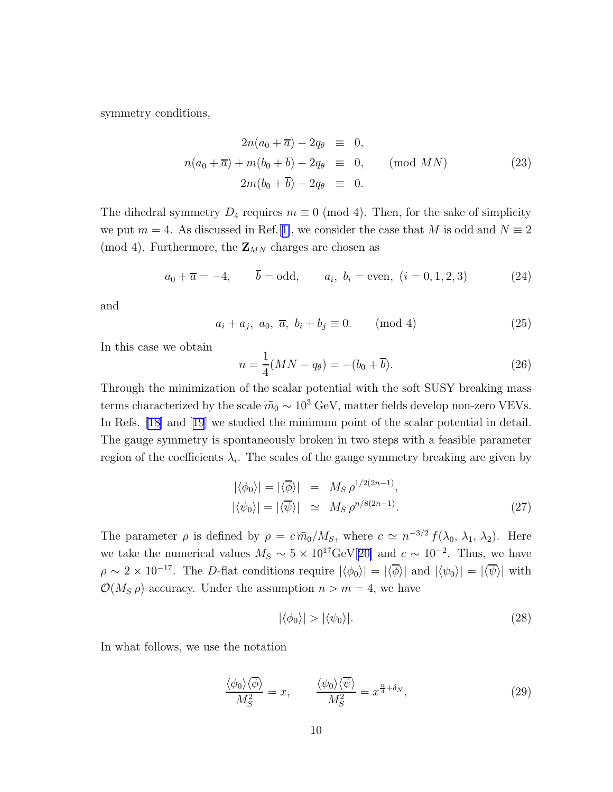<span id="page-9-0"></span>symmetry conditions,

$$
2n(a_0 + \overline{a}) - 2q_{\theta} \equiv 0,
$$
  
\n
$$
n(a_0 + \overline{a}) + m(b_0 + \overline{b}) - 2q_{\theta} \equiv 0,
$$
 (mod MN)  
\n
$$
2m(b_0 + \overline{b}) - 2q_{\theta} \equiv 0.
$$
 (23)

The dihedral symmetry  $D_4$  requires  $m \equiv 0 \pmod{4}$ . Then, for the sake of simplicity we put  $m = 4$ . As discussed in Ref.[[1\]](#page-24-0), we consider the case that M is odd and  $N \equiv 2$ (mod 4). Furthermore, the  $\mathbf{Z}_{MN}$  charges are chosen as

$$
a_0 + \overline{a} = -4
$$
,  $\overline{b} = \text{odd}$ ,  $a_i, b_i = \text{even}, (i = 0, 1, 2, 3)$  (24)

and

$$
a_i + a_j, \ a_0, \ \overline{a}, \ b_i + b_j \equiv 0. \qquad \text{(mod 4)} \tag{25}
$$

In this case we obtain

$$
n = \frac{1}{4}(MN - q_{\theta}) = -(b_0 + \overline{b}).
$$
\n(26)

Through the minimization of the scalar potential with the soft SUSY breaking mass terms characterized by the scale  $\widetilde{m}_0 \sim 10^3$  GeV, matter fields develop non-zero VEVs. In Refs. [\[18\]](#page-25-0)and [[19](#page-25-0)] we studied the minimum point of the scalar potential in detail. The gauge symmetry is spontaneously broken in two steps with a feasible parameter region of the coefficients  $\lambda_i$ . The scales of the gauge symmetry breaking are given by

$$
|\langle \phi_0 \rangle| = |\langle \overline{\phi} \rangle| = M_S \rho^{1/2(2n-1)},
$$
  

$$
|\langle \psi_0 \rangle| = |\langle \overline{\psi} \rangle| \simeq M_S \rho^{n/8(2n-1)}.
$$
 (27)

The parameter  $\rho$  is defined by  $\rho = c \widetilde{m}_0/M_S$ , where  $c \simeq n^{-3/2} f(\lambda_0, \lambda_1, \lambda_2)$ . Here we take the numerical values  $M_S \sim 5 \times 10^{17} \text{GeV} [20]$  $M_S \sim 5 \times 10^{17} \text{GeV} [20]$  and  $c \sim 10^{-2}$ . Thus, we have  $\rho \sim 2 \times 10^{-17}$ . The D-flat conditions require  $|\langle \phi_0 \rangle| = |\langle \overline{\phi} \rangle|$  and  $|\langle \psi_0 \rangle| = |\langle \overline{\psi} \rangle|$  with  $\mathcal{O}(M_S \rho)$  accuracy. Under the assumption  $n > m = 4$ , we have

$$
|\langle \phi_0 \rangle| > |\langle \psi_0 \rangle|. \tag{28}
$$

In what follows, we use the notation

$$
\frac{\langle \phi_0 \rangle \langle \overline{\phi} \rangle}{M_S^2} = x, \qquad \frac{\langle \psi_0 \rangle \langle \overline{\psi} \rangle}{M_S^2} = x^{\frac{n}{4} + \delta_N}, \tag{29}
$$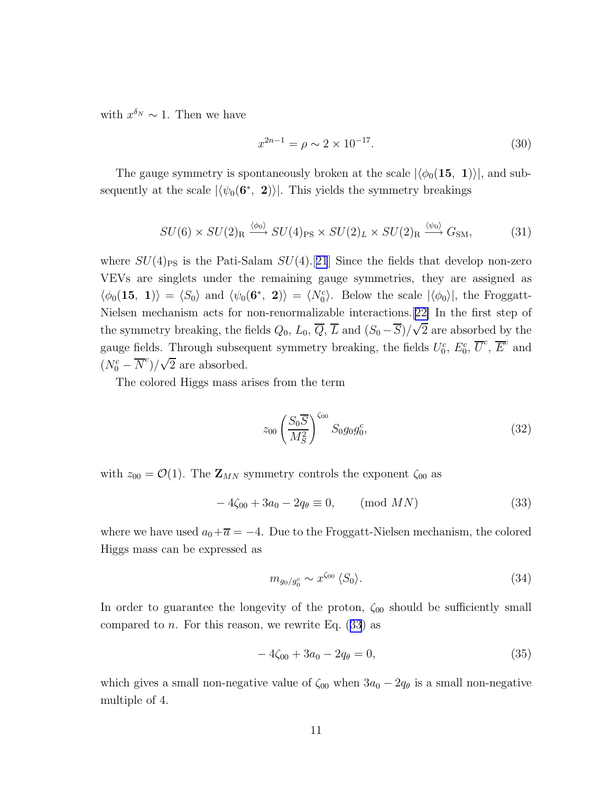with  $x^{\delta_N} \sim 1$ . Then we have

$$
x^{2n-1} = \rho \sim 2 \times 10^{-17}.
$$
\n(30)

The gauge symmetry is spontaneously broken at the scale  $|\langle \phi_0(15, 1)\rangle|$ , and subsequently at the scale  $|\langle \psi_0(\mathbf{6}^*, \mathbf{2}) \rangle|$ . This yields the symmetry breakings

$$
SU(6) \times SU(2)_{\rm R} \xrightarrow{\langle \phi_0 \rangle} SU(4)_{\rm PS} \times SU(2)_L \times SU(2)_{\rm R} \xrightarrow{\langle \psi_0 \rangle} G_{\rm SM},\tag{31}
$$

where  $SU(4)_{\rm PS}$  is the Pati-Salam  $SU(4)$ .[[21](#page-25-0)] Since the fields that develop non-zero VEVs are singlets under the remaining gauge symmetries, they are assigned as  $\langle \phi_0(\mathbf{15}, \mathbf{1}) \rangle = \langle S_0 \rangle$  and  $\langle \psi_0(\mathbf{6}^*, \mathbf{2}) \rangle = \langle N_0^c \rangle$ . Below the scale  $|\langle \phi_0 \rangle|$ , the Froggatt-Nielsen mechanism acts for non-renormalizable interactions.[[22\]](#page-25-0) In the first step of the symmetry breaking, the fields  $Q_0$ ,  $L_0$ ,  $\overline{Q}$ ,  $\overline{L}$  and  $(S_0 - \overline{S})/\sqrt{2}$  are absorbed by the gauge fields. Through subsequent symmetry breaking, the fields  $U_0^c$ ,  $E_0^c$ ,  $\overline{U}^c$ ,  $\overline{E}^c$  and  $(N_0^c - \overline{N}^c)/\sqrt{2}$  are absorbed.

The colored Higgs mass arises from the term

$$
z_{00} \left(\frac{S_0 \overline{S}}{M_S^2}\right)^{\zeta_{00}} S_0 g_0 g_0^c, \tag{32}
$$

with  $z_{00} = \mathcal{O}(1)$ . The  $\mathbf{Z}_{MN}$  symmetry controls the exponent  $\zeta_{00}$  as

$$
-4\zeta_{00} + 3a_0 - 2q_\theta \equiv 0, \qquad \text{(mod } MN)
$$
 (33)

where we have used  $a_0+\overline{a} = -4$ . Due to the Froggatt-Nielsen mechanism, the colored Higgs mass can be expressed as

$$
m_{g_0/g_0^c} \sim x^{\zeta_{00}} \langle S_0 \rangle. \tag{34}
$$

In order to guarantee the longevity of the proton,  $\zeta_{00}$  should be sufficiently small compared to n. For this reason, we rewrite Eq.  $(33)$  as

$$
-4\zeta_{00} + 3a_0 - 2q_\theta = 0,\t\t(35)
$$

which gives a small non-negative value of  $\zeta_{00}$  when  $3a_0 - 2q_\theta$  is a small non-negative multiple of 4.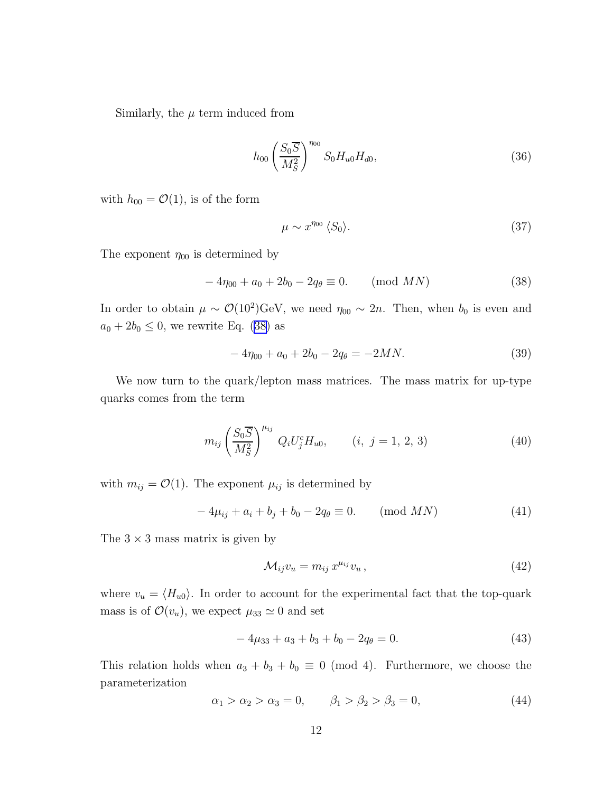<span id="page-11-0"></span>Similarly, the  $\mu$  term induced from

$$
h_{00} \left(\frac{S_0 \overline{S}}{M_S^2}\right)^{\eta_{00}} S_0 H_{u0} H_{d0},\tag{36}
$$

with  $h_{00} = \mathcal{O}(1)$ , is of the form

$$
\mu \sim x^{\eta_{00}} \langle S_0 \rangle. \tag{37}
$$

The exponent  $\eta_{00}$  is determined by

$$
-4\eta_{00} + a_0 + 2b_0 - 2q_\theta \equiv 0. \qquad \text{(mod } MN)
$$
 (38)

In order to obtain  $\mu \sim \mathcal{O}(10^2) \text{GeV}$ , we need  $\eta_{00} \sim 2n$ . Then, when  $b_0$  is even and  $a_0 + 2b_0 \leq 0$ , we rewrite Eq. (38) as

$$
-4\eta_{00} + a_0 + 2b_0 - 2q_\theta = -2MN.
$$
\n(39)

We now turn to the quark/lepton mass matrices. The mass matrix for up-type quarks comes from the term

$$
m_{ij} \left(\frac{S_0 \overline{S}}{M_S^2}\right)^{\mu_{ij}} Q_i U_j^c H_{u0}, \qquad (i, j = 1, 2, 3)
$$
 (40)

with  $m_{ij} = \mathcal{O}(1)$ . The exponent  $\mu_{ij}$  is determined by

$$
-4\mu_{ij} + a_i + b_j + b_0 - 2q_\theta \equiv 0. \qquad \text{(mod } MN)
$$
 (41)

The  $3 \times 3$  mass matrix is given by

$$
\mathcal{M}_{ij}v_u = m_{ij} x^{\mu_{ij}} v_u, \qquad (42)
$$

where  $v_u = \langle H_{u0} \rangle$ . In order to account for the experimental fact that the top-quark mass is of  $\mathcal{O}(v_u)$ , we expect  $\mu_{33} \simeq 0$  and set

$$
-4\mu_{33} + a_3 + b_3 + b_0 - 2q_\theta = 0. \tag{43}
$$

This relation holds when  $a_3 + b_3 + b_0 \equiv 0 \pmod{4}$ . Furthermore, we choose the parameterization

$$
\alpha_1 > \alpha_2 > \alpha_3 = 0, \qquad \beta_1 > \beta_2 > \beta_3 = 0,
$$
\n(44)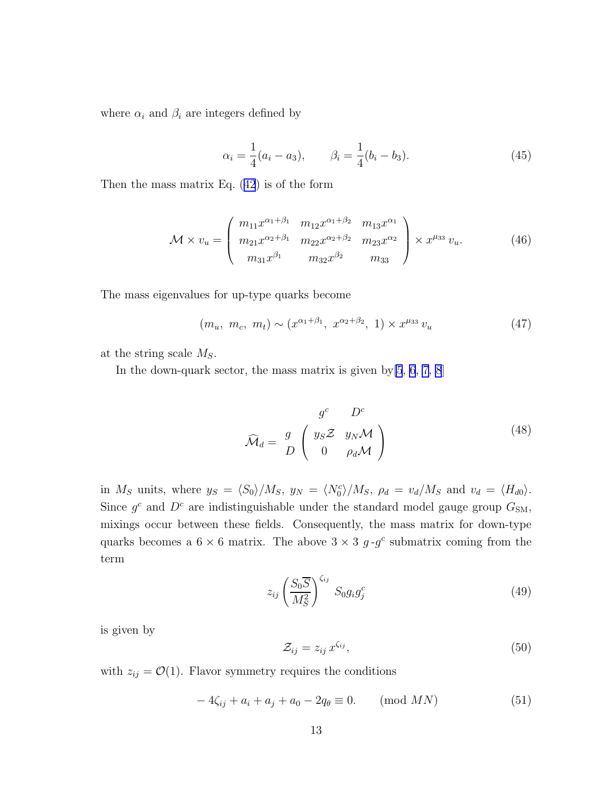<span id="page-12-0"></span>where  $\alpha_i$  and  $\beta_i$  are integers defined by

$$
\alpha_i = \frac{1}{4}(a_i - a_3), \qquad \beta_i = \frac{1}{4}(b_i - b_3). \tag{45}
$$

Then the mass matrix Eq. ([42](#page-11-0)) is of the form

$$
\mathcal{M} \times v_u = \begin{pmatrix} m_{11} x^{\alpha_1 + \beta_1} & m_{12} x^{\alpha_1 + \beta_2} & m_{13} x^{\alpha_1} \\ m_{21} x^{\alpha_2 + \beta_1} & m_{22} x^{\alpha_2 + \beta_2} & m_{23} x^{\alpha_2} \\ m_{31} x^{\beta_1} & m_{32} x^{\beta_2} & m_{33} \end{pmatrix} \times x^{\mu_{33}} v_u.
$$
 (46)

The mass eigenvalues for up-type quarks become

$$
(m_u, m_c, m_t) \sim (x^{\alpha_1 + \beta_1}, x^{\alpha_2 + \beta_2}, 1) \times x^{\mu_{33}} v_u \tag{47}
$$

at the string scale  $M_S$ .

In the down-quark sector, the mass matrix is given by  $[5, 6, 7, 8]$  $[5, 6, 7, 8]$  $[5, 6, 7, 8]$  $[5, 6, 7, 8]$  $[5, 6, 7, 8]$  $[5, 6, 7, 8]$  $[5, 6, 7, 8]$  $[5, 6, 7, 8]$ 

$$
\widehat{\mathcal{M}}_d = \frac{g}{D} \begin{pmatrix} y_S \mathcal{Z} & y_N \mathcal{M} \\ 0 & \rho_d \mathcal{M} \end{pmatrix} \tag{48}
$$

in  $M_S$  units, where  $y_S = \langle S_0 \rangle / M_S$ ,  $y_N = \langle N_0^c \rangle / M_S$ ,  $\rho_d = v_d / M_S$  and  $v_d = \langle H_{d0} \rangle$ . Since  $g^c$  and  $D^c$  are indistinguishable under the standard model gauge group  $G_{SM}$ , mixings occur between these fields. Consequently, the mass matrix for down-type quarks becomes a  $6 \times 6$  matrix. The above  $3 \times 3$  g-g<sup>c</sup> submatrix coming from the term

$$
z_{ij} \left(\frac{S_0 \overline{S}}{M_S^2}\right)^{\zeta_{ij}} S_0 g_i g_j^c \tag{49}
$$

is given by

$$
\mathcal{Z}_{ij} = z_{ij} \, x^{\zeta_{ij}},\tag{50}
$$

with  $z_{ij} = \mathcal{O}(1)$ . Flavor symmetry requires the conditions

$$
-4\zeta_{ij} + a_i + a_j + a_0 - 2q_\theta \equiv 0. \qquad \text{(mod } MN)
$$
 (51)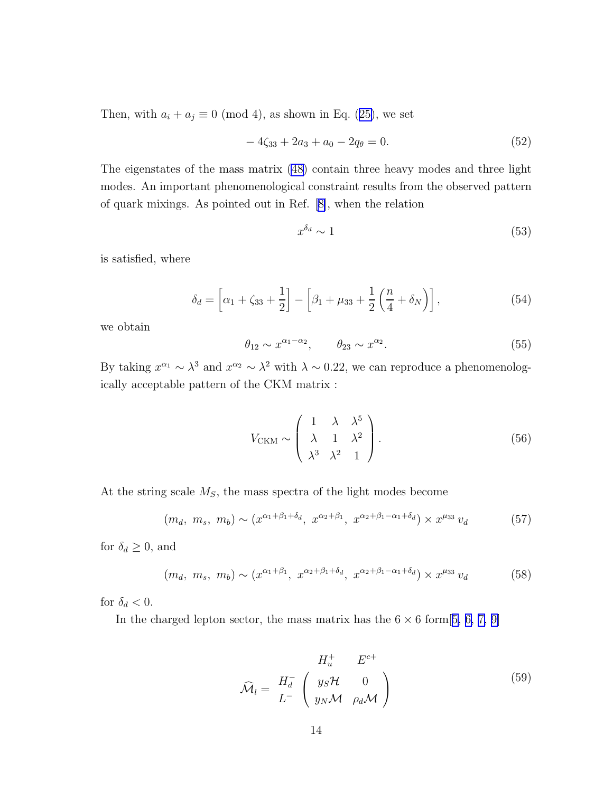<span id="page-13-0"></span>Then, with  $a_i + a_j \equiv 0 \pmod{4}$ , as shown in Eq. ([25\)](#page-9-0), we set

$$
-4\zeta_{33} + 2a_3 + a_0 - 2q_\theta = 0. \tag{52}
$$

The eigenstates of the mass matrix [\(48](#page-12-0)) contain three heavy modes and three light modes. An important phenomenological constraint results from the observed pattern of quark mixings. As pointed out in Ref.[[8\]](#page-24-0), when the relation

$$
x^{\delta_d} \sim 1\tag{53}
$$

is satisfied, where

$$
\delta_d = \left[ \alpha_1 + \zeta_{33} + \frac{1}{2} \right] - \left[ \beta_1 + \mu_{33} + \frac{1}{2} \left( \frac{n}{4} + \delta_N \right) \right],\tag{54}
$$

we obtain

$$
\theta_{12} \sim x^{\alpha_1 - \alpha_2}, \qquad \theta_{23} \sim x^{\alpha_2}.
$$
\n
$$
(55)
$$

By taking  $x^{\alpha_1} \sim \lambda^3$  and  $x^{\alpha_2} \sim \lambda^2$  with  $\lambda \sim 0.22$ , we can reproduce a phenomenologically acceptable pattern of the CKM matrix :

$$
V_{\text{CKM}} \sim \begin{pmatrix} 1 & \lambda & \lambda^5 \\ \lambda & 1 & \lambda^2 \\ \lambda^3 & \lambda^2 & 1 \end{pmatrix} . \tag{56}
$$

At the string scale  $M<sub>S</sub>$ , the mass spectra of the light modes become

$$
(m_d, m_s, m_b) \sim (x^{\alpha_1 + \beta_1 + \delta_d}, x^{\alpha_2 + \beta_1}, x^{\alpha_2 + \beta_1 - \alpha_1 + \delta_d}) \times x^{\mu_{33}} v_d \tag{57}
$$

for  $\delta_d\geq 0,$  and

$$
(m_d, m_s, m_b) \sim (x^{\alpha_1 + \beta_1}, x^{\alpha_2 + \beta_1 + \delta_d}, x^{\alpha_2 + \beta_1 - \alpha_1 + \delta_d}) \times x^{\mu_{33}} v_d \tag{58}
$$

for  $\delta_d < 0$ .

In the charged lepton sector, the mass matrix has the  $6 \times 6$  form [[5, 6, 7, 9\]](#page-24-0)

$$
\widehat{\mathcal{M}}_l = \begin{array}{cc} H_u^+ & E^{c+} \\ H_d^- & \left( \begin{array}{cc} y_S \mathcal{H} & 0 \\ y_N \mathcal{M} & \rho_d \mathcal{M} \end{array} \right) \end{array} \tag{59}
$$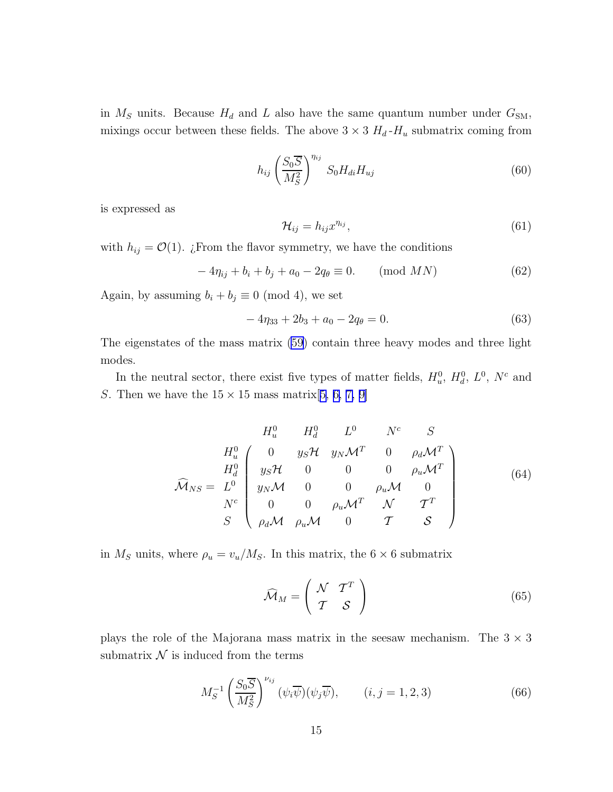in  $M<sub>S</sub>$  units. Because  $H<sub>d</sub>$  and L also have the same quantum number under  $G<sub>SM</sub>$ , mixings occur between these fields. The above  $3 \times 3$   $H_d$ - $H_u$  submatrix coming from

$$
h_{ij} \left(\frac{S_0 \overline{S}}{M_S^2}\right)^{n_{ij}} S_0 H_{di} H_{uj} \tag{60}
$$

is expressed as

$$
\mathcal{H}_{ij} = h_{ij} x^{\eta_{ij}},\tag{61}
$$

with  $h_{ij} = \mathcal{O}(1)$ . ¿From the flavor symmetry, we have the conditions

$$
-4\eta_{ij} + b_i + b_j + a_0 - 2q_\theta \equiv 0. \quad (\text{mod } MN)
$$
 (62)

Again, by assuming  $b_i + b_j \equiv 0 \pmod{4}$ , we set

$$
-4\eta_{33} + 2b_3 + a_0 - 2q_\theta = 0. \tag{63}
$$

The eigenstates of the mass matrix [\(59](#page-13-0)) contain three heavy modes and three light modes.

In the neutral sector, there exist five types of matter fields,  $H_u^0$ ,  $H_d^0$ ,  $L^0$ ,  $N^c$  and S. Then we have the  $15 \times 15$  mass matrix[[5, 6, 7, 9\]](#page-24-0)

$$
\widehat{\mathcal{M}}_{NS} = \begin{bmatrix}\nH_u^0 & H_d^0 & L^0 & N^c & S \\
H_u^0 & 0 & y_S \mathcal{H} & y_N \mathcal{M}^T & 0 & \rho_d \mathcal{M}^T \\
H_d^0 & y_S \mathcal{H} & 0 & 0 & 0 & \rho_u \mathcal{M}^T \\
y_N \mathcal{M} & 0 & 0 & \rho_u \mathcal{M} & 0 \\
N^c & 0 & 0 & \rho_u \mathcal{M}^T & N & T^T \\
S & \rho_d \mathcal{M} & \rho_u \mathcal{M} & 0 & T & S\n\end{bmatrix}
$$
\n(64)

in  $M<sub>S</sub>$  units, where  $\rho_u = v_u/M_S$ . In this matrix, the 6  $\times$  6 submatrix

$$
\widehat{\mathcal{M}}_M = \left(\begin{array}{cc} \mathcal{N} & \mathcal{T}^T \\ \mathcal{T} & \mathcal{S} \end{array}\right) \tag{65}
$$

plays the role of the Majorana mass matrix in the seesaw mechanism. The  $3 \times 3$ submatrix  $\mathcal N$  is induced from the terms

$$
M_S^{-1} \left(\frac{S_0 \overline{S}}{M_S^2}\right)^{\nu_{ij}} (\psi_i \overline{\psi})(\psi_j \overline{\psi}), \qquad (i, j = 1, 2, 3)
$$
 (66)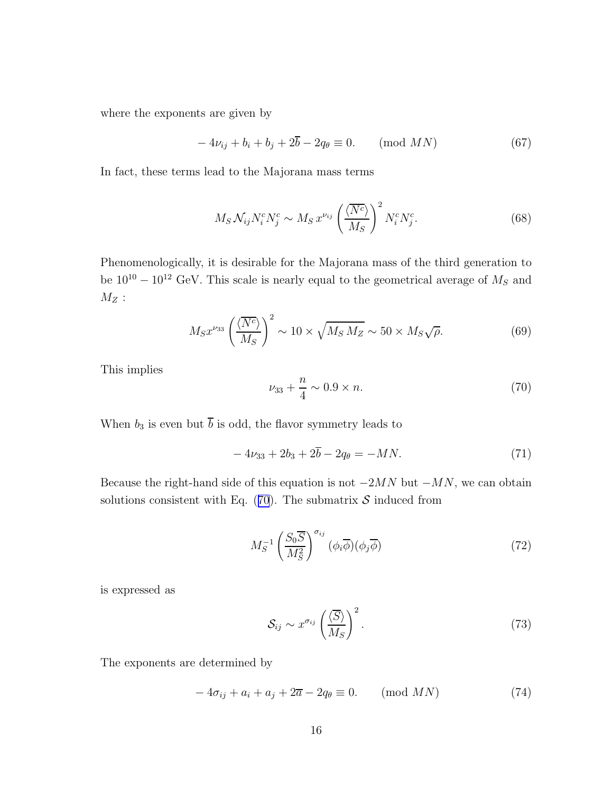<span id="page-15-0"></span>where the exponents are given by

$$
-4\nu_{ij} + b_i + b_j + 2\overline{b} - 2q_\theta \equiv 0. \qquad \text{(mod } MN)
$$
 (67)

In fact, these terms lead to the Majorana mass terms

$$
M_S \mathcal{N}_{ij} N_i^c N_j^c \sim M_S x^{\nu_{ij}} \left(\frac{\langle \overline{N^c} \rangle}{M_S}\right)^2 N_i^c N_j^c. \tag{68}
$$

Phenomenologically, it is desirable for the Majorana mass of the third generation to be  $10^{10} - 10^{12}$  GeV. This scale is nearly equal to the geometrical average of  $M_s$  and  $M_Z$  :

$$
M_S x^{\nu_{33}} \left(\frac{\langle \overline{N^c} \rangle}{M_S} \right)^2 \sim 10 \times \sqrt{M_S M_Z} \sim 50 \times M_S \sqrt{\rho}.
$$
 (69)

This implies

$$
\nu_{33} + \frac{n}{4} \sim 0.9 \times n. \tag{70}
$$

When  $b_3$  is even but  $\overline{b}$  is odd, the flavor symmetry leads to

$$
-4\nu_{33} + 2b_3 + 2\overline{b} - 2q_\theta = -MN.\tag{71}
$$

Because the right-hand side of this equation is not  $-2MN$  but  $-MN$ , we can obtain solutions consistent with Eq.  $(70)$ . The submatrix S induced from

$$
M_S^{-1} \left(\frac{S_0 \overline{S}}{M_S^2}\right)^{\sigma_{ij}} (\phi_i \overline{\phi})(\phi_j \overline{\phi})
$$
\n(72)

is expressed as

$$
S_{ij} \sim x^{\sigma_{ij}} \left(\frac{\langle \overline{S} \rangle}{M_S}\right)^2.
$$
 (73)

The exponents are determined by

$$
-4\sigma_{ij} + a_i + a_j + 2\overline{a} - 2q_\theta \equiv 0. \qquad \text{(mod } MN)
$$
 (74)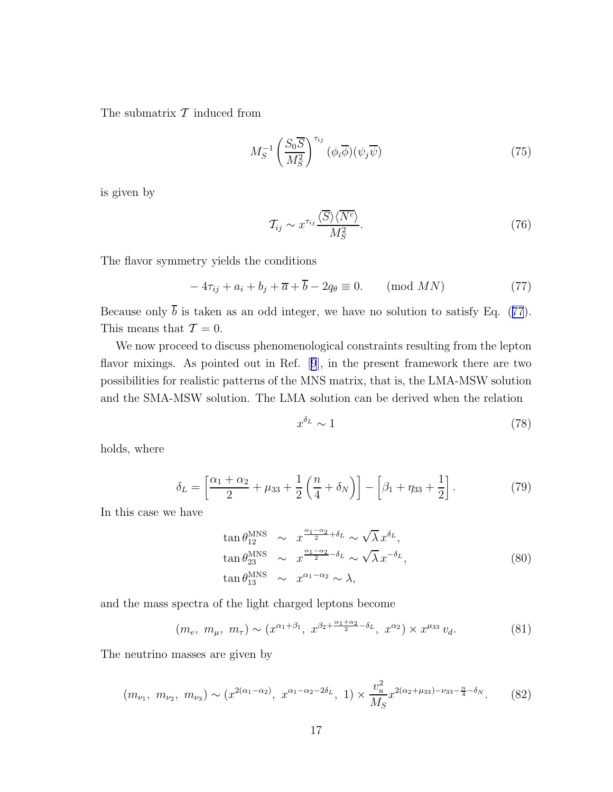The submatrix  $\mathcal T$  induced from

$$
M_S^{-1} \left(\frac{S_0 \overline{S}}{M_S^2}\right)^{\tau_{ij}} (\phi_i \overline{\phi})(\psi_j \overline{\psi})
$$
 (75)

is given by

$$
\mathcal{T}_{ij} \sim x^{\tau_{ij}} \frac{\langle \overline{S} \rangle \langle \overline{N^c} \rangle}{M_S^2}.
$$
\n(76)

The flavor symmetry yields the conditions

$$
-4\tau_{ij} + a_i + b_j + \overline{a} + \overline{b} - 2q_\theta \equiv 0. \qquad \text{(mod } MN)
$$
 (77)

Because only  $\bar{b}$  is taken as an odd integer, we have no solution to satisfy Eq. (77). This means that  $\mathcal{T} = 0$ .

We now proceed to discuss phenomenological constraints resulting from the lepton flavor mixings. As pointed out in Ref.[[9](#page-24-0)], in the present framework there are two possibilities for realistic patterns of the MNS matrix, that is, the LMA-MSW solution and the SMA-MSW solution. The LMA solution can be derived when the relation

$$
x^{\delta_L} \sim 1\tag{78}
$$

holds, where

$$
\delta_L = \left[ \frac{\alpha_1 + \alpha_2}{2} + \mu_{33} + \frac{1}{2} \left( \frac{n}{4} + \delta_N \right) \right] - \left[ \beta_1 + \eta_{33} + \frac{1}{2} \right]. \tag{79}
$$

In this case we have

$$
\tan \theta_{12}^{\text{MNS}} \sim x^{\frac{\alpha_1 - \alpha_2}{2} + \delta_L} \sim \sqrt{\lambda} x^{\delta_L},
$$
  
\n
$$
\tan \theta_{23}^{\text{MNS}} \sim x^{\frac{\alpha_1 - \alpha_2}{2} - \delta_L} \sim \sqrt{\lambda} x^{-\delta_L},
$$
  
\n
$$
\tan \theta_{13}^{\text{MNS}} \sim x^{\alpha_1 - \alpha_2} \sim \lambda,
$$
\n(80)

and the mass spectra of the light charged leptons become

$$
(m_e, m_\mu, m_\tau) \sim (x^{\alpha_1 + \beta_1}, x^{\beta_2 + \frac{\alpha_1 + \alpha_2}{2} - \delta_L}, x^{\alpha_2}) \times x^{\mu_{33}} v_d.
$$
 (81)

The neutrino masses are given by

$$
(m_{\nu_1}, m_{\nu_2}, m_{\nu_3}) \sim (x^{2(\alpha_1 - \alpha_2)}, x^{\alpha_1 - \alpha_2 - 2\delta_L}, 1) \times \frac{v_u^2}{M_S} x^{2(\alpha_2 + \mu_{33}) - \nu_{33} - \frac{n}{4} - \delta_N}.
$$
 (82)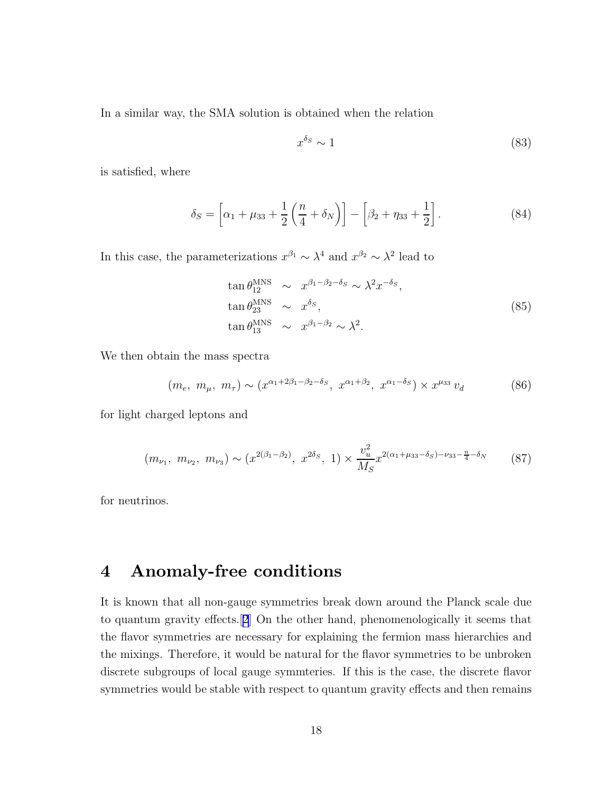In a similar way, the SMA solution is obtained when the relation

$$
x^{\delta_S} \sim 1\tag{83}
$$

is satisfied, where

$$
\delta_S = \left[ \alpha_1 + \mu_{33} + \frac{1}{2} \left( \frac{n}{4} + \delta_N \right) \right] - \left[ \beta_2 + \eta_{33} + \frac{1}{2} \right]. \tag{84}
$$

In this case, the parameterizations  $x^{\beta_1} \sim \lambda^4$  and  $x^{\beta_2} \sim \lambda^2$  lead to

$$
\tan \theta_{12}^{\text{MNS}} \sim x^{\beta_1 - \beta_2 - \delta_S} \sim \lambda^2 x^{-\delta_S},
$$
  
\n
$$
\tan \theta_{23}^{\text{MNS}} \sim x^{\delta_S},
$$
  
\n
$$
\tan \theta_{13}^{\text{MNS}} \sim x^{\beta_1 - \beta_2} \sim \lambda^2.
$$
\n(85)

We then obtain the mass spectra

$$
(m_e, m_\mu, m_\tau) \sim (x^{\alpha_1 + 2\beta_1 - \beta_2 - \delta_S}, x^{\alpha_1 + \beta_2}, x^{\alpha_1 - \delta_S}) \times x^{\mu_{33}} v_d \tag{86}
$$

for light charged leptons and

$$
(m_{\nu_1}, m_{\nu_2}, m_{\nu_3}) \sim (x^{2(\beta_1 - \beta_2)}, x^{2\delta_S}, 1) \times \frac{v_u^2}{M_S} x^{2(\alpha_1 + \mu_{33} - \delta_S) - \nu_{33} - \frac{n}{4} - \delta_N} \tag{87}
$$

for neutrinos.

#### 4 Anomaly-free conditions

It is known that all non-gauge symmetries break down around the Planck scale due to quantum gravity effects.[[2](#page-24-0)] On the other hand, phenomenologically it seems that the flavor symmetries are necessary for explaining the fermion mass hierarchies and the mixings. Therefore, it would be natural for the flavor symmetries to be unbroken discrete subgroups of local gauge symmteries. If this is the case, the discrete flavor symmetries would be stable with respect to quantum gravity effects and then remains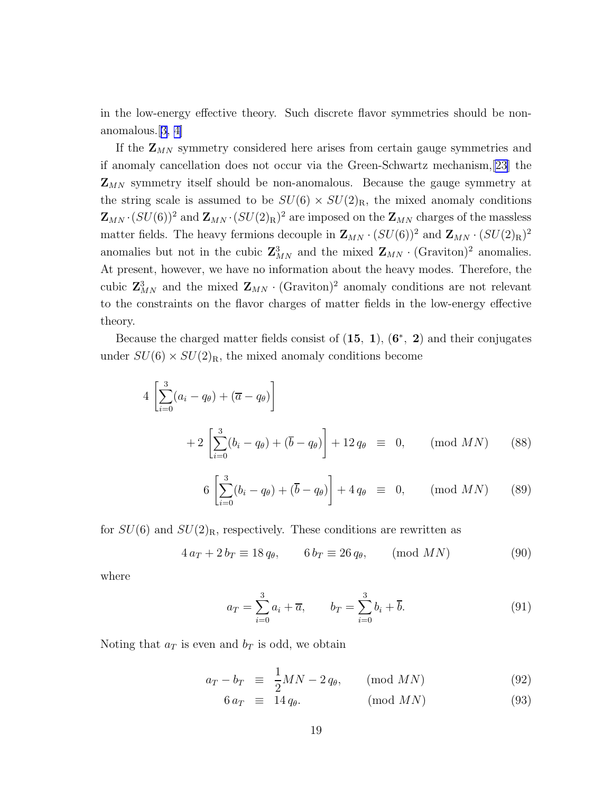<span id="page-18-0"></span>in the low-energy effective theory. Such discrete flavor symmetries should be nonanomalous.[[3, 4\]](#page-24-0)

If the  $\mathbf{Z}_{MN}$  symmetry considered here arises from certain gauge symmetries and if anomaly cancellation does not occur via the Green-Schwartz mechanism,[\[23](#page-25-0)] the  $\mathbf{Z}_{MN}$  symmetry itself should be non-anomalous. Because the gauge symmetry at the string scale is assumed to be  $SU(6) \times SU(2)_R$ , the mixed anomaly conditions  ${\bf Z}_{MN}\cdot (SU(6))^2$  and  ${\bf Z}_{MN}\cdot (SU(2)_{\rm R})^2$  are imposed on the  ${\bf Z}_{MN}$  charges of the massless matter fields. The heavy fermions decouple in  $\mathbf{Z}_{MN} \cdot (SU(6))^2$  and  $\mathbf{Z}_{MN} \cdot (SU(2)_R)^2$ anomalies but not in the cubic  $\mathbb{Z}_{MN}^3$  and the mixed  $\mathbb{Z}_{MN}$  · (Graviton)<sup>2</sup> anomalies. At present, however, we have no information about the heavy modes. Therefore, the cubic  $\mathbf{Z}_{MN}^3$  and the mixed  $\mathbf{Z}_{MN} \cdot (\text{Graviton})^2$  anomaly conditions are not relevant to the constraints on the flavor charges of matter fields in the low-energy effective theory.

Because the charged matter fields consist of  $(15, 1)$ ,  $(6^*, 2)$  and their conjugates under  $SU(6) \times SU(2)_R$ , the mixed anomaly conditions become

$$
4\left[\sum_{i=0}^{3} (a_i - q_{\theta}) + (\overline{a} - q_{\theta})\right] + 2\left[\sum_{i=0}^{3} (b_i - q_{\theta}) + (\overline{b} - q_{\theta})\right] + 12 q_{\theta} \equiv 0, \quad (\text{mod } MN) \quad (88)
$$

$$
6\left[\sum_{i=0}^{3} (b_i - q_{\theta}) + (\overline{b} - q_{\theta})\right] + 4 q_{\theta} \equiv 0, \quad (\text{mod } MN) \tag{89}
$$

for  $SU(6)$  and  $SU(2)_R$ , respectively. These conditions are rewritten as

$$
4 a_T + 2 b_T \equiv 18 q_\theta, \qquad 6 b_T \equiv 26 q_\theta, \qquad \text{(mod } MN)
$$
 (90)

where

$$
a_T = \sum_{i=0}^{3} a_i + \overline{a}, \qquad b_T = \sum_{i=0}^{3} b_i + \overline{b}.
$$
 (91)

Noting that  $a_T$  is even and  $b_T$  is odd, we obtain

$$
a_T - b_T \equiv \frac{1}{2}MN - 2q_\theta, \qquad \text{(mod } MN)
$$
 (92)

$$
6 a_T \equiv 14 q_\theta. \quad (\text{mod } MN) \tag{93}
$$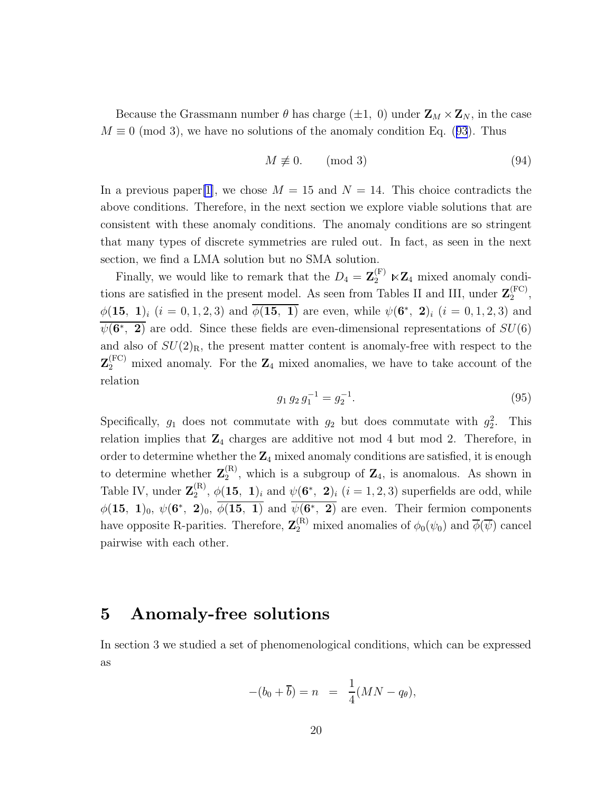Because the Grassmann number  $\theta$  has charge ( $\pm 1$ , 0) under  $\mathbf{Z}_M \times \mathbf{Z}_N$ , in the case  $M \equiv 0 \pmod{3}$ , we have no solutions of the anomaly condition Eq. ([93](#page-18-0)). Thus

$$
M \not\equiv 0. \qquad \text{(mod 3)}\tag{94}
$$

In a previous paper [\[1](#page-24-0)], we chose  $M = 15$  and  $N = 14$ . This choice contradicts the above conditions. Therefore, in the next section we explore viable solutions that are consistent with these anomaly conditions. The anomaly conditions are so stringent that many types of discrete symmetries are ruled out. In fact, as seen in the next section, we find a LMA solution but no SMA solution.

Finally, we would like to remark that the  $D_4 = \mathbf{Z}_2^{(F)} \ltimes \mathbf{Z}_4$  mixed anomaly conditions are satisfied in the present model. As seen from Tables II and III, under  $\mathbf{Z}_2^{(\text{FC})}$  $2^{(\Gamma\cup)}$  $\phi(15, 1)_i$   $(i = 0, 1, 2, 3)$  and  $\overline{\phi(15, 1)}$  are even, while  $\psi(6^*, 2)_i$   $(i = 0, 1, 2, 3)$  and  $\overline{\psi(6^*, 2)}$  are odd. Since these fields are even-dimensional representations of  $SU(6)$ and also of  $SU(2)_R$ , the present matter content is anomaly-free with respect to the  $\mathbf{Z}_2^{(\text{FC})}$  mixed anomaly. For the  $\mathbf{Z}_4$  mixed anomalies, we have to take account of the relation

$$
g_1 g_2 g_1^{-1} = g_2^{-1}.
$$
\n(95)

Specifically,  $g_1$  does not commutate with  $g_2$  but does commutate with  $g_2^2$ . This relation implies that  $\mathbb{Z}_4$  charges are additive not mod 4 but mod 2. Therefore, in order to determine whether the  $\mathbb{Z}_4$  mixed anomaly conditions are satisfied, it is enough to determine whether  $\mathbf{Z}_2^{(\text{R})}$  $2<sup>(R)</sup>$ , which is a subgroup of  $\mathbb{Z}_4$ , is anomalous. As shown in Table IV, under  $\mathbf{Z}_2^{(\text{R})}$  $\psi_2^{(R)}$ ,  $\phi(15, 1)_i$  and  $\psi(6^*, 2)_i$   $(i = 1, 2, 3)$  superfields are odd, while  $\phi(15, 1)_0, \, \psi(6^*, 2)_0, \, \overline{\phi(15, 1)}$  and  $\overline{\psi(6^*, 2)}$  are even. Their fermion components have opposite R-parities. Therefore,  $\mathbf{Z}_2^{(R)}$  mixed anomalies of  $\phi_0(\psi_0)$  and  $\overline{\phi}(\overline{\psi})$  cancel pairwise with each other.

#### 5 Anomaly-free solutions

In section 3 we studied a set of phenomenological conditions, which can be expressed as

$$
-(b_0 + \overline{b}) = n = \frac{1}{4}(MN - q_\theta),
$$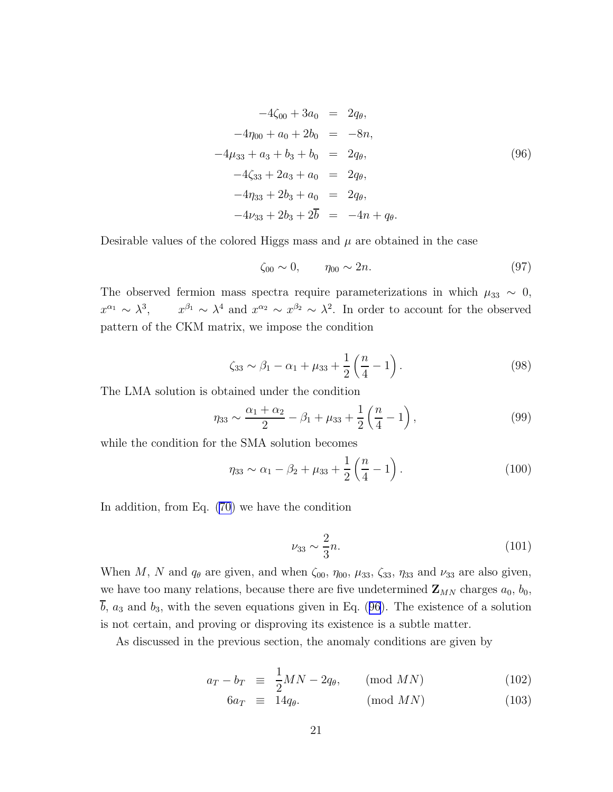<span id="page-20-0"></span>
$$
-4\zeta_{00} + 3a_0 = 2q_{\theta},
$$
  
\n
$$
-4\eta_{00} + a_0 + 2b_0 = -8n,
$$
  
\n
$$
-4\mu_{33} + a_3 + b_3 + b_0 = 2q_{\theta},
$$
  
\n
$$
-4\zeta_{33} + 2a_3 + a_0 = 2q_{\theta},
$$
  
\n
$$
-4\eta_{33} + 2b_3 + a_0 = 2q_{\theta},
$$
  
\n
$$
-4\nu_{33} + 2b_3 + 2\overline{b} = -4n + q_{\theta}.
$$
  
\n(96)

Desirable values of the colored Higgs mass and  $\mu$  are obtained in the case

$$
\zeta_{00} \sim 0, \qquad \eta_{00} \sim 2n.
$$
\n(97)

The observed fermion mass spectra require parameterizations in which  $\mu_{33} \sim 0$ ,  $x^{\alpha_1} \sim \lambda^3$ ,  $x^{\beta_1} \sim \lambda^4$  and  $x^{\alpha_2} \sim x^{\beta_2} \sim \lambda^2$ . In order to account for the observed pattern of the CKM matrix, we impose the condition

$$
\zeta_{33} \sim \beta_1 - \alpha_1 + \mu_{33} + \frac{1}{2} \left( \frac{n}{4} - 1 \right). \tag{98}
$$

The LMA solution is obtained under the condition

$$
\eta_{33} \sim \frac{\alpha_1 + \alpha_2}{2} - \beta_1 + \mu_{33} + \frac{1}{2} \left( \frac{n}{4} - 1 \right),\tag{99}
$$

while the condition for the SMA solution becomes

$$
\eta_{33} \sim \alpha_1 - \beta_2 + \mu_{33} + \frac{1}{2} \left( \frac{n}{4} - 1 \right). \tag{100}
$$

In addition, from Eq. [\(70](#page-15-0)) we have the condition

$$
\nu_{33} \sim \frac{2}{3}n.\tag{101}
$$

When M, N and  $q_{\theta}$  are given, and when  $\zeta_{00}$ ,  $\eta_{00}$ ,  $\mu_{33}$ ,  $\zeta_{33}$ ,  $\eta_{33}$  and  $\nu_{33}$  are also given, we have too many relations, because there are five undetermined  $\mathbf{Z}_{MN}$  charges  $a_0$ ,  $b_0$ ,  $\overline{b}$ ,  $a_3$  and  $b_3$ , with the seven equations given in Eq. (96). The existence of a solution is not certain, and proving or disproving its existence is a subtle matter.

As discussed in the previous section, the anomaly conditions are given by

$$
a_T - b_T \equiv \frac{1}{2}MN - 2q_\theta, \qquad \text{(mod } MN)
$$
 (102)

$$
6a_T \equiv 14q_\theta. \quad (\text{mod } MN) \tag{103}
$$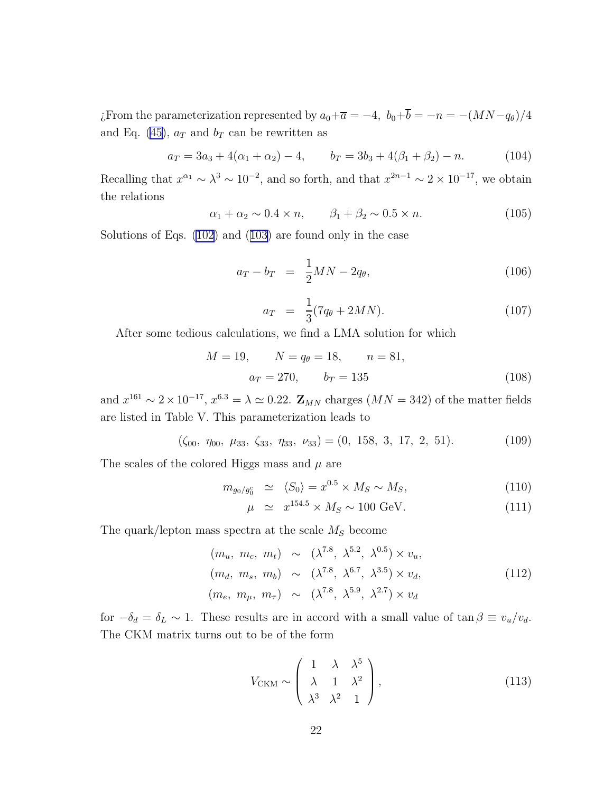¿From the parameterization represented by  $a_0+\overline{a} = -4$ ,  $b_0+\overline{b} = -n = -(MN-q_\theta)/4$ and Eq. [\(45](#page-12-0)),  $a_T$  and  $b_T$  can be rewritten as

$$
a_T = 3a_3 + 4(\alpha_1 + \alpha_2) - 4, \qquad b_T = 3b_3 + 4(\beta_1 + \beta_2) - n. \tag{104}
$$

Recalling that  $x^{\alpha_1} \sim \lambda^3 \sim 10^{-2}$ , and so forth, and that  $x^{2n-1} \sim 2 \times 10^{-17}$ , we obtain the relations

$$
\alpha_1 + \alpha_2 \sim 0.4 \times n, \qquad \beta_1 + \beta_2 \sim 0.5 \times n. \tag{105}
$$

Solutions of Eqs. [\(102\)](#page-20-0) and ([103](#page-20-0)) are found only in the case

$$
a_T - b_T = \frac{1}{2}MN - 2q_\theta, \tag{106}
$$

$$
a_T = \frac{1}{3}(7q_\theta + 2MN). \tag{107}
$$

After some tedious calculations, we find a LMA solution for which

$$
M = 19, \qquad N = q_{\theta} = 18, \qquad n = 81,
$$
  

$$
a_T = 270, \qquad b_T = 135
$$
 (108)

and  $x^{161} \sim 2 \times 10^{-17}$ ,  $x^{6.3} \sim \Delta \simeq 0.22$ .  $\mathbb{Z}_{MN}$  charges  $(MN = 342)$  of the matter fields are listed in Table V. This parameterization leads to

 $(\zeta_{00}, \eta_{00}, \mu_{33}, \zeta_{33}, \eta_{33}, \nu_{33}) = (0, 158, 3, 17, 2, 51).$  (109)

The scales of the colored Higgs mass and  $\mu$  are

$$
m_{g_0/g_0^c} \simeq \langle S_0 \rangle = x^{0.5} \times M_S \sim M_S,\tag{110}
$$

$$
\mu \simeq x^{154.5} \times M_S \sim 100 \text{ GeV}.
$$
\n(111)

The quark/lepton mass spectra at the scale  $M<sub>S</sub>$  become

$$
(m_u, m_c, m_t) \sim (\lambda^{7.8}, \lambda^{5.2}, \lambda^{0.5}) \times v_u,
$$
  
\n
$$
(m_d, m_s, m_b) \sim (\lambda^{7.8}, \lambda^{6.7}, \lambda^{3.5}) \times v_d,
$$
  
\n
$$
(m_e, m_\mu, m_\tau) \sim (\lambda^{7.8}, \lambda^{5.9}, \lambda^{2.7}) \times v_d
$$
\n
$$
(112)
$$

for  $-\delta_d = \delta_L \sim 1$ . These results are in accord with a small value of  $\tan \beta \equiv v_u/v_d$ . The CKM matrix turns out to be of the form

$$
V_{\text{CKM}} \sim \begin{pmatrix} 1 & \lambda & \lambda^5 \\ \lambda & 1 & \lambda^2 \\ \lambda^3 & \lambda^2 & 1 \end{pmatrix},
$$
 (113)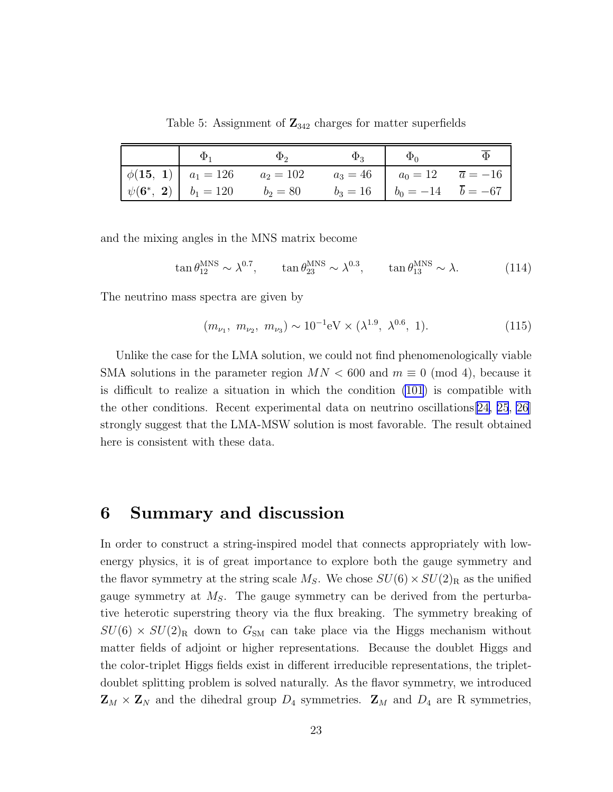| $\Phi_1$ | $\Phi_2$                                                                                                                                                                                                                                                                                                                                                                                                                                                           | $\Phi_3$ | $\Phi_0$                                     |  |
|----------|--------------------------------------------------------------------------------------------------------------------------------------------------------------------------------------------------------------------------------------------------------------------------------------------------------------------------------------------------------------------------------------------------------------------------------------------------------------------|----------|----------------------------------------------|--|
|          | $\phi(15, 1)   a_1 = 126$ $a_2 = 102$                                                                                                                                                                                                                                                                                                                                                                                                                              |          | $a_3 = 46$   $a_0 = 12$ $\overline{a} = -16$ |  |
|          | $\left \right. \psi({\bf 6^*, \ 2}) \left \right. \left.\right. \left.\right. b_1 = 120 \qquad \quad b_2 = 80 \qquad \quad b_3 = 16 \quad \left \right. \left.\right. \left.\right. b_0 = -14 \qquad \overline{b} = -67 \qquad \quad b_1 = 120 \qquad \quad b_2 = 80 \qquad \quad b_3 = 16 \quad \left \right. \left.\right. \left.\right. b_0 = -14 \qquad \overline{b} = -67 \qquad \quad b_1 = 120 \qquad \quad b_2 = 80 \qquad \quad b_3 = 16 \qquad \quad b_$ |          |                                              |  |

Table 5: Assignment of  $\mathbb{Z}_{342}$  charges for matter superfields

and the mixing angles in the MNS matrix become

$$
\tan \theta_{12}^{\text{MNS}} \sim \lambda^{0.7}, \qquad \tan \theta_{23}^{\text{MNS}} \sim \lambda^{0.3}, \qquad \tan \theta_{13}^{\text{MNS}} \sim \lambda. \tag{114}
$$

The neutrino mass spectra are given by

$$
(m_{\nu_1}, m_{\nu_2}, m_{\nu_3}) \sim 10^{-1} \text{eV} \times (\lambda^{1.9}, \lambda^{0.6}, 1). \tag{115}
$$

Unlike the case for the LMA solution, we could not find phenomenologically viable SMA solutions in the parameter region  $MN < 600$  and  $m \equiv 0 \pmod{4}$ , because it is difficult to realize a situation in which the condition [\(101](#page-20-0)) is compatible with the other conditions. Recent experimental data on neutrino oscillations[[24, 25](#page-26-0), [26](#page-26-0)] strongly suggest that the LMA-MSW solution is most favorable. The result obtained here is consistent with these data.

### 6 Summary and discussion

In order to construct a string-inspired model that connects appropriately with lowenergy physics, it is of great importance to explore both the gauge symmetry and the flavor symmetry at the string scale  $M_S$ . We chose  $SU(6) \times SU(2)_R$  as the unified gauge symmetry at  $M<sub>S</sub>$ . The gauge symmetry can be derived from the perturbative heterotic superstring theory via the flux breaking. The symmetry breaking of  $SU(6) \times SU(2)_R$  down to  $G_{SM}$  can take place via the Higgs mechanism without matter fields of adjoint or higher representations. Because the doublet Higgs and the color-triplet Higgs fields exist in different irreducible representations, the tripletdoublet splitting problem is solved naturally. As the flavor symmetry, we introduced  $\mathbf{Z}_M \times \mathbf{Z}_N$  and the dihedral group  $D_4$  symmetries.  $\mathbf{Z}_M$  and  $D_4$  are R symmetries,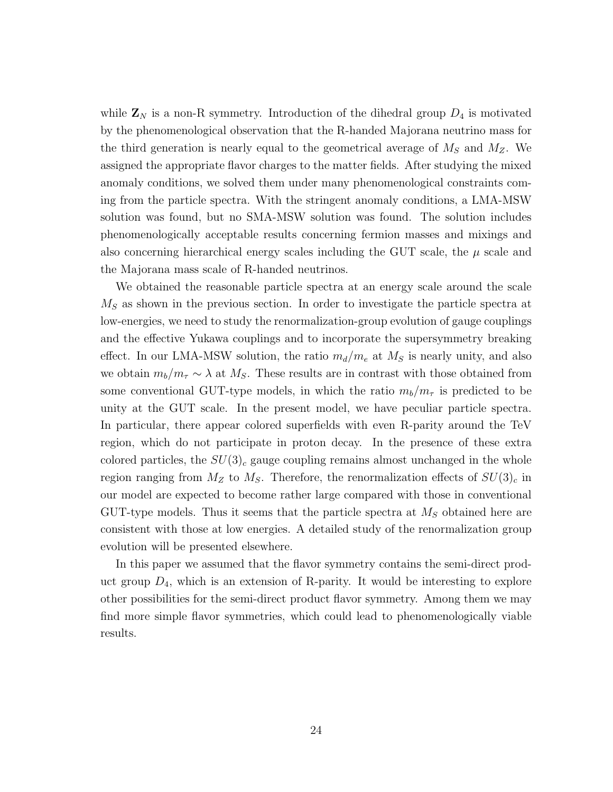while  $\mathbf{Z}_N$  is a non-R symmetry. Introduction of the dihedral group  $D_4$  is motivated by the phenomenological observation that the R-handed Majorana neutrino mass for the third generation is nearly equal to the geometrical average of  $M<sub>S</sub>$  and  $M<sub>Z</sub>$ . We assigned the appropriate flavor charges to the matter fields. After studying the mixed anomaly conditions, we solved them under many phenomenological constraints coming from the particle spectra. With the stringent anomaly conditions, a LMA-MSW solution was found, but no SMA-MSW solution was found. The solution includes phenomenologically acceptable results concerning fermion masses and mixings and also concerning hierarchical energy scales including the GUT scale, the  $\mu$  scale and the Majorana mass scale of R-handed neutrinos.

We obtained the reasonable particle spectra at an energy scale around the scale  $M<sub>S</sub>$  as shown in the previous section. In order to investigate the particle spectra at low-energies, we need to study the renormalization-group evolution of gauge couplings and the effective Yukawa couplings and to incorporate the supersymmetry breaking effect. In our LMA-MSW solution, the ratio  $m_d/m_e$  at  $M_s$  is nearly unity, and also we obtain  $m_b/m_\tau \sim \lambda$  at M<sub>S</sub>. These results are in contrast with those obtained from some conventional GUT-type models, in which the ratio  $m_b/m_\tau$  is predicted to be unity at the GUT scale. In the present model, we have peculiar particle spectra. In particular, there appear colored superfields with even R-parity around the TeV region, which do not participate in proton decay. In the presence of these extra colored particles, the  $SU(3)_c$  gauge coupling remains almost unchanged in the whole region ranging from  $M_Z$  to  $M_S$ . Therefore, the renormalization effects of  $SU(3)_c$  in our model are expected to become rather large compared with those in conventional GUT-type models. Thus it seems that the particle spectra at  $M<sub>S</sub>$  obtained here are consistent with those at low energies. A detailed study of the renormalization group evolution will be presented elsewhere.

In this paper we assumed that the flavor symmetry contains the semi-direct product group  $D_4$ , which is an extension of R-parity. It would be interesting to explore other possibilities for the semi-direct product flavor symmetry. Among them we may find more simple flavor symmetries, which could lead to phenomenologically viable results.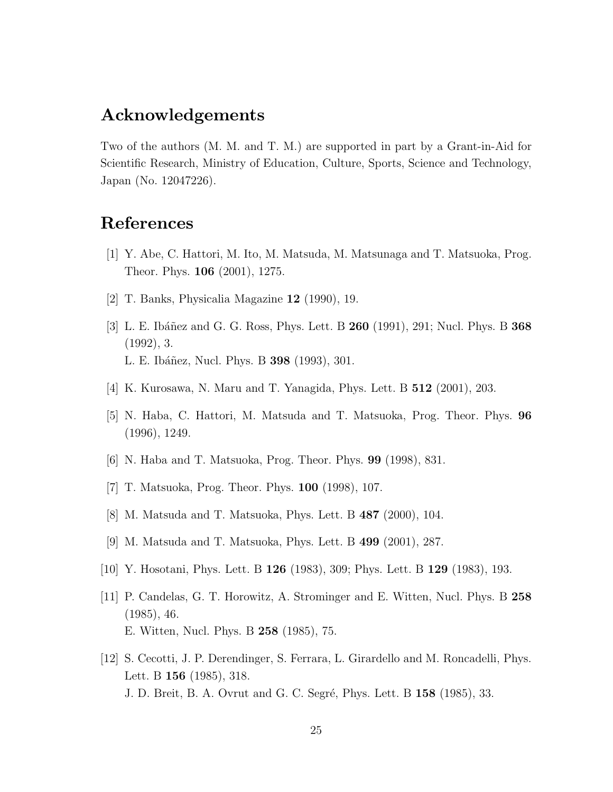### <span id="page-24-0"></span>Acknowledgements

Two of the authors (M. M. and T. M.) are supported in part by a Grant-in-Aid for Scientific Research, Ministry of Education, Culture, Sports, Science and Technology, Japan (No. 12047226).

# References

- [1] Y. Abe, C. Hattori, M. Ito, M. Matsuda, M. Matsunaga and T. Matsuoka, Prog. Theor. Phys. 106 (2001), 1275.
- [2] T. Banks, Physicalia Magazine 12 (1990), 19.
- [3] L. E. Ibáñez and G. G. Ross, Phys. Lett. B  $260$  (1991), 291; Nucl. Phys. B  $368$ (1992), 3. L. E. Ibáñez, Nucl. Phys. B **398** (1993), 301.
- [4] K. Kurosawa, N. Maru and T. Yanagida, Phys. Lett. B 512 (2001), 203.
- [5] N. Haba, C. Hattori, M. Matsuda and T. Matsuoka, Prog. Theor. Phys. 96 (1996), 1249.
- [6] N. Haba and T. Matsuoka, Prog. Theor. Phys. 99 (1998), 831.
- [7] T. Matsuoka, Prog. Theor. Phys. 100 (1998), 107.
- [8] M. Matsuda and T. Matsuoka, Phys. Lett. B 487 (2000), 104.
- [9] M. Matsuda and T. Matsuoka, Phys. Lett. B 499 (2001), 287.
- [10] Y. Hosotani, Phys. Lett. B 126 (1983), 309; Phys. Lett. B 129 (1983), 193.
- [11] P. Candelas, G. T. Horowitz, A. Strominger and E. Witten, Nucl. Phys. B 258 (1985), 46. E. Witten, Nucl. Phys. B 258 (1985), 75.
- [12] S. Cecotti, J. P. Derendinger, S. Ferrara, L. Girardello and M. Roncadelli, Phys. Lett. B 156 (1985), 318. J. D. Breit, B. A. Ovrut and G. C. Segré, Phys. Lett. B 158 (1985), 33.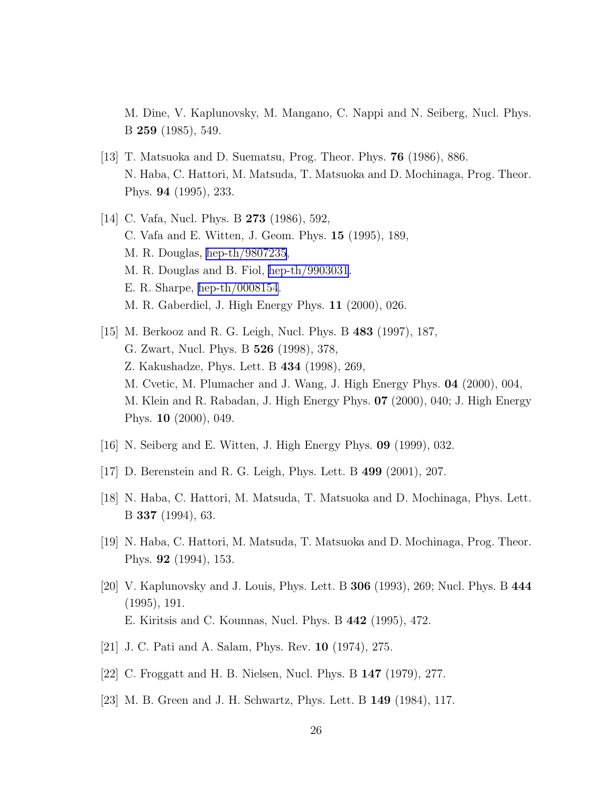<span id="page-25-0"></span>M. Dine, V. Kaplunovsky, M. Mangano, C. Nappi and N. Seiberg, Nucl. Phys. B 259 (1985), 549.

- [13] T. Matsuoka and D. Suematsu, Prog. Theor. Phys.  $76$  (1986), 886. N. Haba, C. Hattori, M. Matsuda, T. Matsuoka and D. Mochinaga, Prog. Theor. Phys. 94 (1995), 233.
- [14] C. Vafa, Nucl. Phys. B 273 (1986), 592, C. Vafa and E. Witten, J. Geom. Phys. 15 (1995), 189, M. R. Douglas, [hep-th/9807235](http://arXiv.org/abs/hep-th/9807235), M. R. Douglas and B. Fiol, [hep-th/9903031](http://arXiv.org/abs/hep-th/9903031). E. R. Sharpe, [hep-th/0008154](http://arXiv.org/abs/hep-th/0008154). M. R. Gaberdiel, J. High Energy Phys. 11 (2000), 026.
- [15] M. Berkooz and R. G. Leigh, Nucl. Phys. B 483 (1997), 187, G. Zwart, Nucl. Phys. B 526 (1998), 378, Z. Kakushadze, Phys. Lett. B 434 (1998), 269, M. Cvetic, M. Plumacher and J. Wang, J. High Energy Phys. 04 (2000), 004, M. Klein and R. Rabadan, J. High Energy Phys. 07 (2000), 040; J. High Energy Phys. 10 (2000), 049.
- [16] N. Seiberg and E. Witten, J. High Energy Phys. 09 (1999), 032.
- [17] D. Berenstein and R. G. Leigh, Phys. Lett. B 499 (2001), 207.
- [18] N. Haba, C. Hattori, M. Matsuda, T. Matsuoka and D. Mochinaga, Phys. Lett. B 337 (1994), 63.
- [19] N. Haba, C. Hattori, M. Matsuda, T. Matsuoka and D. Mochinaga, Prog. Theor. Phys. 92 (1994), 153.
- [20] V. Kaplunovsky and J. Louis, Phys. Lett. B 306 (1993), 269; Nucl. Phys. B 444 (1995), 191. E. Kiritsis and C. Kounnas, Nucl. Phys. B 442 (1995), 472.
- [21] J. C. Pati and A. Salam, Phys. Rev. 10 (1974), 275.
- [22] C. Froggatt and H. B. Nielsen, Nucl. Phys. B 147 (1979), 277.
- [23] M. B. Green and J. H. Schwartz, Phys. Lett. B 149 (1984), 117.